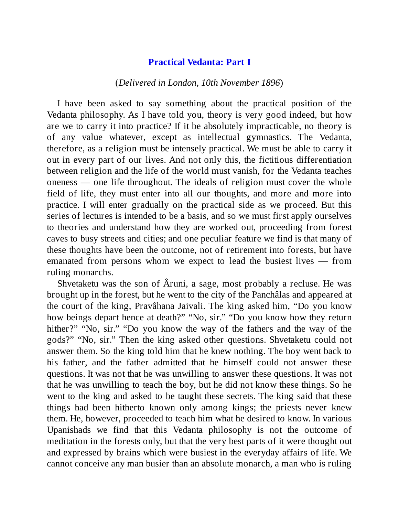# **Practical Vedanta: Part I**

#### (*Delivered in London, 10th November 1896*)

I have been asked to say something about the practical position of the Vedanta philosophy. As I have told you, theory is very good indeed, but how are we to carry it into practice? If it be absolutely impracticable, no theory is of any value whatever, except as intellectual gymnastics. The Vedanta, therefore, as a religion must be intensely practical. We must be able to carry it out in every part of our lives. And not only this, the fictitious differentiation between religion and the life of the world must vanish, for the Vedanta teaches oneness — one life throughout. The ideals of religion must cover the whole field of life, they must enter into all our thoughts, and more and more into practice. I will enter gradually on the practical side as we proceed. But this series of lectures is intended to be a basis, and so we must first apply ourselves to theories and understand how they are worked out, proceeding from forest caves to busy streets and cities; and one peculiar feature we find is that many of these thoughts have been the outcome, not of retirement into forests, but have emanated from persons whom we expect to lead the busiest lives — from ruling monarchs.

Shvetaketu was the son of Âruni, a sage, most probably a recluse. He was brought up in the forest, but he went to the city of the Panchâlas and appeared at the court of the king, Pravâhana Jaivali. The king asked him, "Do you know how beings depart hence at death?" "No, sir." "Do you know how they return hither?" "No, sir." "Do you know the way of the fathers and the way of the gods?" "No, sir." Then the king asked other questions. Shvetaketu could not answer them. So the king told him that he knew nothing. The boy went back to his father, and the father admitted that he himself could not answer these questions. It was not that he was unwilling to answer these questions. It was not that he was unwilling to teach the boy, but he did not know these things. So he went to the king and asked to be taught these secrets. The king said that these things had been hitherto known only among kings; the priests never knew them. He, however, proceeded to teach him what he desired to know. In various Upanishads we find that this Vedanta philosophy is not the outcome of meditation in the forests only, but that the very best parts of it were thought out and expressed by brains which were busiest in the everyday affairs of life. We cannot conceive any man busier than an absolute monarch, a man who is ruling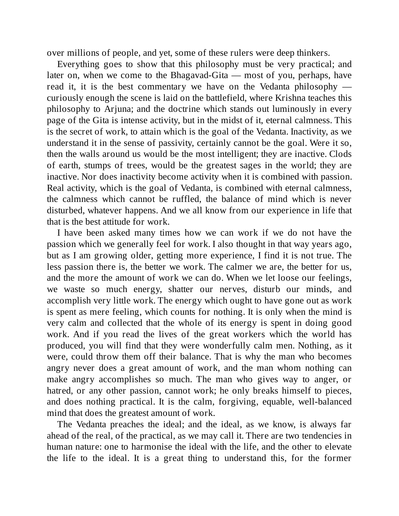over millions of people, and yet, some of these rulers were deep thinkers.

Everything goes to show that this philosophy must be very practical; and later on, when we come to the Bhagavad-Gita — most of you, perhaps, have read it, it is the best commentary we have on the Vedanta philosophy curiously enough the scene is laid on the battlefield, where Krishna teaches this philosophy to Arjuna; and the doctrine which stands out luminously in every page of the Gita is intense activity, but in the midst of it, eternal calmness. This is the secret of work, to attain which is the goal of the Vedanta. Inactivity, as we understand it in the sense of passivity, certainly cannot be the goal. Were it so, then the walls around us would be the most intelligent; they are inactive. Clods of earth, stumps of trees, would be the greatest sages in the world; they are inactive. Nor does inactivity become activity when it is combined with passion. Real activity, which is the goal of Vedanta, is combined with eternal calmness, the calmness which cannot be ruffled, the balance of mind which is never disturbed, whatever happens. And we all know from our experience in life that that is the best attitude for work.

I have been asked many times how we can work if we do not have the passion which we generally feel for work. I also thought in that way years ago, but as I am growing older, getting more experience, I find it is not true. The less passion there is, the better we work. The calmer we are, the better for us, and the more the amount of work we can do. When we let loose our feelings, we waste so much energy, shatter our nerves, disturb our minds, and accomplish very little work. The energy which ought to have gone out as work is spent as mere feeling, which counts for nothing. It is only when the mind is very calm and collected that the whole of its energy is spent in doing good work. And if you read the lives of the great workers which the world has produced, you will find that they were wonderfully calm men. Nothing, as it were, could throw them off their balance. That is why the man who becomes angry never does a great amount of work, and the man whom nothing can make angry accomplishes so much. The man who gives way to anger, or hatred, or any other passion, cannot work; he only breaks himself to pieces, and does nothing practical. It is the calm, forgiving, equable, well-balanced mind that does the greatest amount of work.

The Vedanta preaches the ideal; and the ideal, as we know, is always far ahead of the real, of the practical, as we may call it. There are two tendencies in human nature: one to harmonise the ideal with the life, and the other to elevate the life to the ideal. It is a great thing to understand this, for the former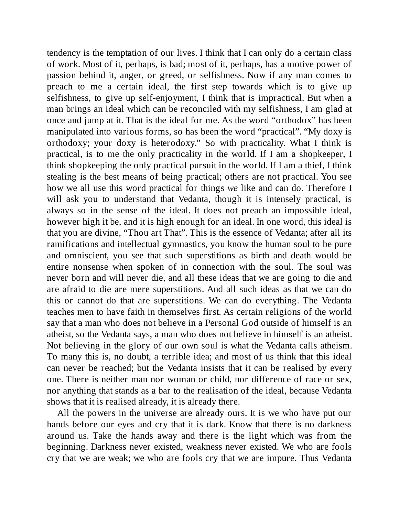tendency is the temptation of our lives. I think that I can only do a certain class of work. Most of it, perhaps, is bad; most of it, perhaps, has a motive power of passion behind it, anger, or greed, or selfishness. Now if any man comes to preach to me a certain ideal, the first step towards which is to give up selfishness, to give up self-enjoyment, I think that is impractical. But when a man brings an ideal which can be reconciled with my selfishness, I am glad at once and jump at it. That is the ideal for me. As the word "orthodox" has been manipulated into various forms, so has been the word "practical". "My doxy is orthodoxy; your doxy is heterodoxy." So with practicality. What I think is practical, is to me the only practicality in the world. If I am a shopkeeper, I think shopkeeping the only practical pursuit in the world. If I am a thief, I think stealing is the best means of being practical; others are not practical. You see how we all use this word practical for things *we* like and can do. Therefore I will ask you to understand that Vedanta, though it is intensely practical, is always so in the sense of the ideal. It does not preach an impossible ideal, however high it be, and it is high enough for an ideal. In one word, this ideal is that you are divine, "Thou art That". This is the essence of Vedanta; after all its ramifications and intellectual gymnastics, you know the human soul to be pure and omniscient, you see that such superstitions as birth and death would be entire nonsense when spoken of in connection with the soul. The soul was never born and will never die, and all these ideas that we are going to die and are afraid to die are mere superstitions. And all such ideas as that we can do this or cannot do that are superstitions. We can do everything. The Vedanta teaches men to have faith in themselves first. As certain religions of the world say that a man who does not believe in a Personal God outside of himself is an atheist, so the Vedanta says, a man who does not believe in himself is an atheist. Not believing in the glory of our own soul is what the Vedanta calls atheism. To many this is, no doubt, a terrible idea; and most of us think that this ideal can never be reached; but the Vedanta insists that it can be realised by every one. There is neither man nor woman or child, nor difference of race or sex, nor anything that stands as a bar to the realisation of the ideal, because Vedanta shows that it is realised already, it is already there.

All the powers in the universe are already ours. It is we who have put our hands before our eyes and cry that it is dark. Know that there is no darkness around us. Take the hands away and there is the light which was from the beginning. Darkness never existed, weakness never existed. We who are fools cry that we are weak; we who are fools cry that we are impure. Thus Vedanta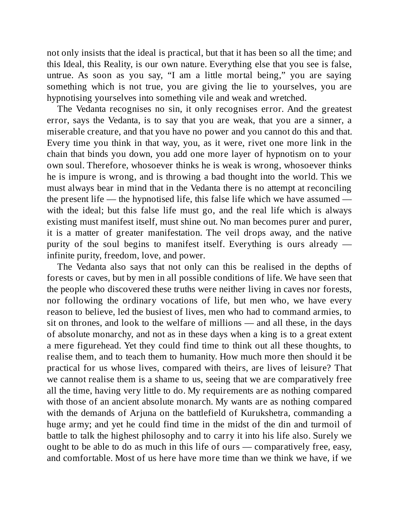not only insists that the ideal is practical, but that it has been so all the time; and this Ideal, this Reality, is our own nature. Everything else that you see is false, untrue. As soon as you say, "I am a little mortal being," you are saying something which is not true, you are giving the lie to yourselves, you are hypnotising yourselves into something vile and weak and wretched.

The Vedanta recognises no sin, it only recognises error. And the greatest error, says the Vedanta, is to say that you are weak, that you are a sinner, a miserable creature, and that you have no power and you cannot do this and that. Every time you think in that way, you, as it were, rivet one more link in the chain that binds you down, you add one more layer of hypnotism on to your own soul. Therefore, whosoever thinks he is weak is wrong, whosoever thinks he is impure is wrong, and is throwing a bad thought into the world. This we must always bear in mind that in the Vedanta there is no attempt at reconciling the present life — the hypnotised life, this false life which we have assumed with the ideal; but this false life must go, and the real life which is always existing must manifest itself, must shine out. No man becomes purer and purer, it is a matter of greater manifestation. The veil drops away, and the native purity of the soul begins to manifest itself. Everything is ours already infinite purity, freedom, love, and power.

The Vedanta also says that not only can this be realised in the depths of forests or caves, but by men in all possible conditions of life. We have seen that the people who discovered these truths were neither living in caves nor forests, nor following the ordinary vocations of life, but men who, we have every reason to believe, led the busiest of lives, men who had to command armies, to sit on thrones, and look to the welfare of millions — and all these, in the days of absolute monarchy, and not as in these days when a king is to a great extent a mere figurehead. Yet they could find time to think out all these thoughts, to realise them, and to teach them to humanity. How much more then should it be practical for us whose lives, compared with theirs, are lives of leisure? That we cannot realise them is a shame to us, seeing that we are comparatively free all the time, having very little to do. My requirements are as nothing compared with those of an ancient absolute monarch. My wants are as nothing compared with the demands of Arjuna on the battlefield of Kurukshetra, commanding a huge army; and yet he could find time in the midst of the din and turmoil of battle to talk the highest philosophy and to carry it into his life also. Surely we ought to be able to do as much in this life of ours — comparatively free, easy, and comfortable. Most of us here have more time than we think we have, if we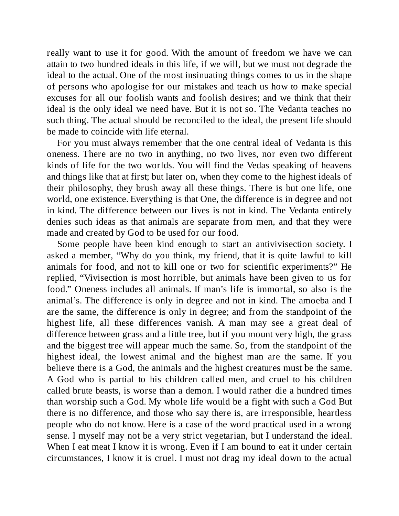really want to use it for good. With the amount of freedom we have we can attain to two hundred ideals in this life, if we will, but we must not degrade the ideal to the actual. One of the most insinuating things comes to us in the shape of persons who apologise for our mistakes and teach us how to make special excuses for all our foolish wants and foolish desires; and we think that their ideal is the only ideal we need have. But it is not so. The Vedanta teaches no such thing. The actual should be reconciled to the ideal, the present life should be made to coincide with life eternal.

For you must always remember that the one central ideal of Vedanta is this oneness. There are no two in anything, no two lives, nor even two different kinds of life for the two worlds. You will find the Vedas speaking of heavens and things like that at first; but later on, when they come to the highest ideals of their philosophy, they brush away all these things. There is but one life, one world, one existence. Everything is that One, the difference is in degree and not in kind. The difference between our lives is not in kind. The Vedanta entirely denies such ideas as that animals are separate from men, and that they were made and created by God to be used for our food.

Some people have been kind enough to start an antivivisection society. I asked a member, "Why do you think, my friend, that it is quite lawful to kill animals for food, and not to kill one or two for scientific experiments?" He replied, "Vivisection is most horrible, but animals have been given to us for food." Oneness includes all animals. If man's life is immortal, so also is the animal's. The difference is only in degree and not in kind. The amoeba and I are the same, the difference is only in degree; and from the standpoint of the highest life, all these differences vanish. A man may see a great deal of difference between grass and a little tree, but if you mount very high, the grass and the biggest tree will appear much the same. So, from the standpoint of the highest ideal, the lowest animal and the highest man are the same. If you believe there is a God, the animals and the highest creatures must be the same. A God who is partial to his children called men, and cruel to his children called brute beasts, is worse than a demon. I would rather die a hundred times than worship such a God. My whole life would be a fight with such a God But there is no difference, and those who say there is, are irresponsible, heartless people who do not know. Here is a case of the word practical used in a wrong sense. I myself may not be a very strict vegetarian, but I understand the ideal. When I eat meat I know it is wrong. Even if I am bound to eat it under certain circumstances, I know it is cruel. I must not drag my ideal down to the actual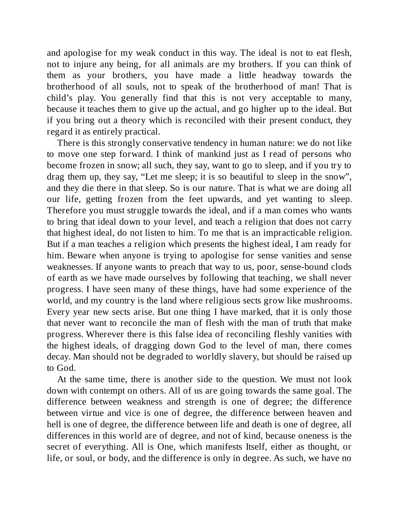and apologise for my weak conduct in this way. The ideal is not to eat flesh, not to injure any being, for all animals are my brothers. If you can think of them as your brothers, you have made a little headway towards the brotherhood of all souls, not to speak of the brotherhood of man! That is child's play. You generally find that this is not very acceptable to many, because it teaches them to give up the actual, and go higher up to the ideal. But if you bring out a theory which is reconciled with their present conduct, they regard it as entirely practical.

There is this strongly conservative tendency in human nature: we do not like to move one step forward. I think of mankind just as I read of persons who become frozen in snow; all such, they say, want to go to sleep, and if you try to drag them up, they say, "Let me sleep; it is so beautiful to sleep in the snow", and they die there in that sleep. So is our nature. That is what we are doing all our life, getting frozen from the feet upwards, and yet wanting to sleep. Therefore you must struggle towards the ideal, and if a man comes who wants to bring that ideal down to your level, and teach a religion that does not carry that highest ideal, do not listen to him. To me that is an impracticable religion. But if a man teaches a religion which presents the highest ideal, I am ready for him. Beware when anyone is trying to apologise for sense vanities and sense weaknesses. If anyone wants to preach that way to us, poor, sense-bound clods of earth as we have made ourselves by following that teaching, we shall never progress. I have seen many of these things, have had some experience of the world, and my country is the land where religious sects grow like mushrooms. Every year new sects arise. But one thing I have marked, that it is only those that never want to reconcile the man of flesh with the man of truth that make progress. Wherever there is this false idea of reconciling fleshly vanities with the highest ideals, of dragging down God to the level of man, there comes decay. Man should not be degraded to worldly slavery, but should be raised up to God.

At the same time, there is another side to the question. We must not look down with contempt on others. All of us are going towards the same goal. The difference between weakness and strength is one of degree; the difference between virtue and vice is one of degree, the difference between heaven and hell is one of degree, the difference between life and death is one of degree, all differences in this world are of degree, and not of kind, because oneness is the secret of everything. All is One, which manifests Itself, either as thought, or life, or soul, or body, and the difference is only in degree. As such, we have no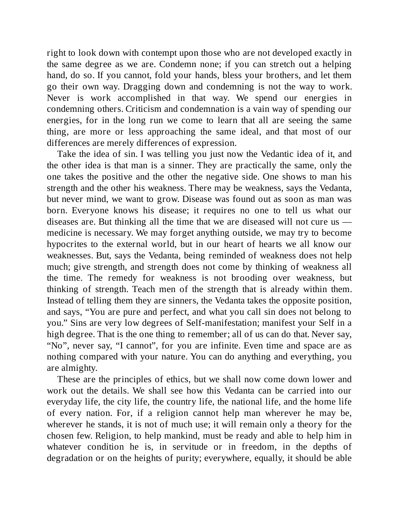right to look down with contempt upon those who are not developed exactly in the same degree as we are. Condemn none; if you can stretch out a helping hand, do so. If you cannot, fold your hands, bless your brothers, and let them go their own way. Dragging down and condemning is not the way to work. Never is work accomplished in that way. We spend our energies in condemning others. Criticism and condemnation is a vain way of spending our energies, for in the long run we come to learn that all are seeing the same thing, are more or less approaching the same ideal, and that most of our differences are merely differences of expression.

Take the idea of sin. I was telling you just now the Vedantic idea of it, and the other idea is that man is a sinner. They are practically the same, only the one takes the positive and the other the negative side. One shows to man his strength and the other his weakness. There may be weakness, says the Vedanta, but never mind, we want to grow. Disease was found out as soon as man was born. Everyone knows his disease; it requires no one to tell us what our diseases are. But thinking all the time that we are diseased will not cure us medicine is necessary. We may forget anything outside, we may try to become hypocrites to the external world, but in our heart of hearts we all know our weaknesses. But, says the Vedanta, being reminded of weakness does not help much; give strength, and strength does not come by thinking of weakness all the time. The remedy for weakness is not brooding over weakness, but thinking of strength. Teach men of the strength that is already within them. Instead of telling them they are sinners, the Vedanta takes the opposite position, and says, "You are pure and perfect, and what you call sin does not belong to you." Sins are very low degrees of Self-manifestation; manifest your Self in a high degree. That is the one thing to remember; all of us can do that. Never say, "No", never say, "I cannot", for you are infinite. Even time and space are as nothing compared with your nature. You can do anything and everything, you are almighty.

These are the principles of ethics, but we shall now come down lower and work out the details. We shall see how this Vedanta can be carried into our everyday life, the city life, the country life, the national life, and the home life of every nation. For, if a religion cannot help man wherever he may be, wherever he stands, it is not of much use; it will remain only a theory for the chosen few. Religion, to help mankind, must be ready and able to help him in whatever condition he is, in servitude or in freedom, in the depths of degradation or on the heights of purity; everywhere, equally, it should be able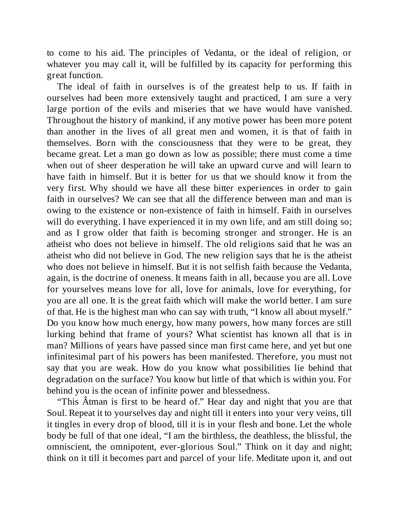to come to his aid. The principles of Vedanta, or the ideal of religion, or whatever you may call it, will be fulfilled by its capacity for performing this great function.

The ideal of faith in ourselves is of the greatest help to us. If faith in ourselves had been more extensively taught and practiced, I am sure a very large portion of the evils and miseries that we have would have vanished. Throughout the history of mankind, if any motive power has been more potent than another in the lives of all great men and women, it is that of faith in themselves. Born with the consciousness that they were to be great, they became great. Let a man go down as low as possible; there must come a time when out of sheer desperation he will take an upward curve and will learn to have faith in himself. But it is better for us that we should know it from the very first. Why should we have all these bitter experiences in order to gain faith in ourselves? We can see that all the difference between man and man is owing to the existence or non-existence of faith in himself. Faith in ourselves will do everything. I have experienced it in my own life, and am still doing so; and as I grow older that faith is becoming stronger and stronger. He is an atheist who does not believe in himself. The old religions said that he was an atheist who did not believe in God. The new religion says that he is the atheist who does not believe in himself. But it is not selfish faith because the Vedanta, again, is the doctrine of oneness. It means faith in all, because you are all. Love for yourselves means love for all, love for animals, love for everything, for you are all one. It is the great faith which will make the world better. I am sure of that. He is the highest man who can say with truth, "I know all about myself." Do you know how much energy, how many powers, how many forces are still lurking behind that frame of yours? What scientist has known all that is in man? Millions of years have passed since man first came here, and yet but one infinitesimal part of his powers has been manifested. Therefore, you must not say that you are weak. How do you know what possibilities lie behind that degradation on the surface? You know but little of that which is within you. For behind you is the ocean of infinite power and blessedness.

"This Âtman is first to be heard of." Hear day and night that you are that Soul. Repeat it to yourselves day and night till it enters into your very veins, till it tingles in every drop of blood, till it is in your flesh and bone. Let the whole body be full of that one ideal, "I am the birthless, the deathless, the blissful, the omniscient, the omnipotent, ever-glorious Soul." Think on it day and night; think on it till it becomes part and parcel of your life. Meditate upon it, and out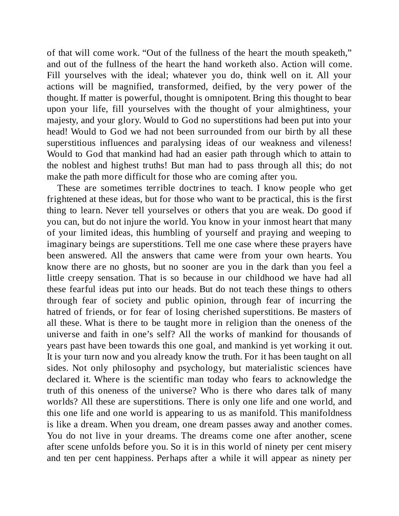of that will come work. "Out of the fullness of the heart the mouth speaketh," and out of the fullness of the heart the hand worketh also. Action will come. Fill yourselves with the ideal; whatever you do, think well on it. All your actions will be magnified, transformed, deified, by the very power of the thought. If matter is powerful, thought is omnipotent. Bring this thought to bear upon your life, fill yourselves with the thought of your almightiness, your majesty, and your glory. Would to God no superstitions had been put into your head! Would to God we had not been surrounded from our birth by all these superstitious influences and paralysing ideas of our weakness and vileness! Would to God that mankind had had an easier path through which to attain to the noblest and highest truths! But man had to pass through all this; do not make the path more difficult for those who are coming after you.

These are sometimes terrible doctrines to teach. I know people who get frightened at these ideas, but for those who want to be practical, this is the first thing to learn. Never tell yourselves or others that you are weak. Do good if you can, but do not injure the world. You know in your inmost heart that many of your limited ideas, this humbling of yourself and praying and weeping to imaginary beings are superstitions. Tell me one case where these prayers have been answered. All the answers that came were from your own hearts. You know there are no ghosts, but no sooner are you in the dark than you feel a little creepy sensation. That is so because in our childhood we have had all these fearful ideas put into our heads. But do not teach these things to others through fear of society and public opinion, through fear of incurring the hatred of friends, or for fear of losing cherished superstitions. Be masters of all these. What is there to be taught more in religion than the oneness of the universe and faith in one's self? All the works of mankind for thousands of years past have been towards this one goal, and mankind is yet working it out. It is your turn now and you already know the truth. For it has been taught on all sides. Not only philosophy and psychology, but materialistic sciences have declared it. Where is the scientific man today who fears to acknowledge the truth of this oneness of the universe? Who is there who dares talk of many worlds? All these are superstitions. There is only one life and one world, and this one life and one world is appearing to us as manifold. This manifoldness is like a dream. When you dream, one dream passes away and another comes. You do not live in your dreams. The dreams come one after another, scene after scene unfolds before you. So it is in this world of ninety per cent misery and ten per cent happiness. Perhaps after a while it will appear as ninety per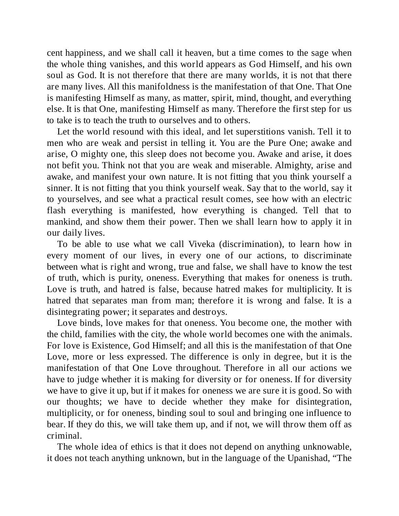cent happiness, and we shall call it heaven, but a time comes to the sage when the whole thing vanishes, and this world appears as God Himself, and his own soul as God. It is not therefore that there are many worlds, it is not that there are many lives. All this manifoldness is the manifestation of that One. That One is manifesting Himself as many, as matter, spirit, mind, thought, and everything else. It is that One, manifesting Himself as many. Therefore the first step for us to take is to teach the truth to ourselves and to others.

Let the world resound with this ideal, and let superstitions vanish. Tell it to men who are weak and persist in telling it. You are the Pure One; awake and arise, O mighty one, this sleep does not become you. Awake and arise, it does not befit you. Think not that you are weak and miserable. Almighty, arise and awake, and manifest your own nature. It is not fitting that you think yourself a sinner. It is not fitting that you think yourself weak. Say that to the world, say it to yourselves, and see what a practical result comes, see how with an electric flash everything is manifested, how everything is changed. Tell that to mankind, and show them their power. Then we shall learn how to apply it in our daily lives.

To be able to use what we call Viveka (discrimination), to learn how in every moment of our lives, in every one of our actions, to discriminate between what is right and wrong, true and false, we shall have to know the test of truth, which is purity, oneness. Everything that makes for oneness is truth. Love is truth, and hatred is false, because hatred makes for multiplicity. It is hatred that separates man from man; therefore it is wrong and false. It is a disintegrating power; it separates and destroys.

Love binds, love makes for that oneness. You become one, the mother with the child, families with the city, the whole world becomes one with the animals. For love is Existence, God Himself; and all this is the manifestation of that One Love, more or less expressed. The difference is only in degree, but it is the manifestation of that One Love throughout. Therefore in all our actions we have to judge whether it is making for diversity or for oneness. If for diversity we have to give it up, but if it makes for oneness we are sure it is good. So with our thoughts; we have to decide whether they make for disintegration, multiplicity, or for oneness, binding soul to soul and bringing one influence to bear. If they do this, we will take them up, and if not, we will throw them off as criminal.

The whole idea of ethics is that it does not depend on anything unknowable, it does not teach anything unknown, but in the language of the Upanishad, "The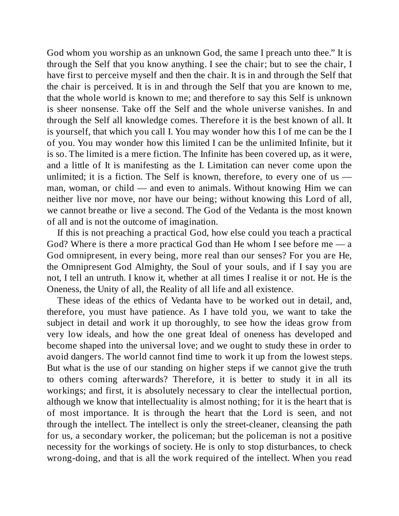God whom you worship as an unknown God, the same I preach unto thee." It is through the Self that you know anything. I see the chair; but to see the chair, I have first to perceive myself and then the chair. It is in and through the Self that the chair is perceived. It is in and through the Self that you are known to me, that the whole world is known to me; and therefore to say this Self is unknown is sheer nonsense. Take off the Self and the whole universe vanishes. In and through the Self all knowledge comes. Therefore it is the best known of all. It is yourself, that which you call I. You may wonder how this I of me can be the I of you. You may wonder how this limited I can be the unlimited Infinite, but it is so. The limited is a mere fiction. The Infinite has been covered up, as it were, and a little of It is manifesting as the I. Limitation can never come upon the unlimited; it is a fiction. The Self is known, therefore, to every one of us  $$ man, woman, or child — and even to animals. Without knowing Him we can neither live nor move, nor have our being; without knowing this Lord of all, we cannot breathe or live a second. The God of the Vedanta is the most known of all and is not the outcome of imagination.

If this is not preaching a practical God, how else could you teach a practical God? Where is there a more practical God than He whom I see before me — a God omnipresent, in every being, more real than our senses? For you are He, the Omnipresent God Almighty, the Soul of your souls, and if I say you are not, I tell an untruth. I know it, whether at all times I realise it or not. He is the Oneness, the Unity of all, the Reality of all life and all existence.

These ideas of the ethics of Vedanta have to be worked out in detail, and, therefore, you must have patience. As I have told you, we want to take the subject in detail and work it up thoroughly, to see how the ideas grow from very low ideals, and how the one great Ideal of oneness has developed and become shaped into the universal love; and we ought to study these in order to avoid dangers. The world cannot find time to work it up from the lowest steps. But what is the use of our standing on higher steps if we cannot give the truth to others coming afterwards? Therefore, it is better to study it in all its workings; and first, it is absolutely necessary to clear the intellectual portion, although we know that intellectuality is almost nothing; for it is the heart that is of most importance. It is through the heart that the Lord is seen, and not through the intellect. The intellect is only the street-cleaner, cleansing the path for us, a secondary worker, the policeman; but the policeman is not a positive necessity for the workings of society. He is only to stop disturbances, to check wrong-doing, and that is all the work required of the intellect. When you read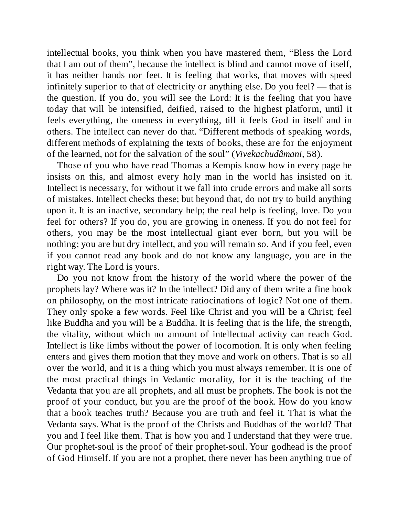intellectual books, you think when you have mastered them, "Bless the Lord that I am out of them", because the intellect is blind and cannot move of itself, it has neither hands nor feet. It is feeling that works, that moves with speed infinitely superior to that of electricity or anything else. Do you feel? — that is the question. If you do, you will see the Lord: It is the feeling that you have today that will be intensified, deified, raised to the highest platform, until it feels everything, the oneness in everything, till it feels God in itself and in others. The intellect can never do that. "Different methods of speaking words, different methods of explaining the texts of books, these are for the enjoyment of the learned, not for the salvation of the soul" (*Vivekachudâmani,* 58).

Those of you who have read Thomas a Kempis know how in every page he insists on this, and almost every holy man in the world has insisted on it. Intellect is necessary, for without it we fall into crude errors and make all sorts of mistakes. Intellect checks these; but beyond that, do not try to build anything upon it. It is an inactive, secondary help; the real help is feeling, love. Do you feel for others? If you do, you are growing in oneness. If you do not feel for others, you may be the most intellectual giant ever born, but you will be nothing; you are but dry intellect, and you will remain so. And if you feel, even if you cannot read any book and do not know any language, you are in the right way. The Lord is yours.

Do you not know from the history of the world where the power of the prophets lay? Where was it? In the intellect? Did any of them write a fine book on philosophy, on the most intricate ratiocinations of logic? Not one of them. They only spoke a few words. Feel like Christ and you will be a Christ; feel like Buddha and you will be a Buddha. It is feeling that is the life, the strength, the vitality, without which no amount of intellectual activity can reach God. Intellect is like limbs without the power of locomotion. It is only when feeling enters and gives them motion that they move and work on others. That is so all over the world, and it is a thing which you must always remember. It is one of the most practical things in Vedantic morality, for it is the teaching of the Vedanta that you are all prophets, and all must be prophets. The book is not the proof of your conduct, but you are the proof of the book. How do you know that a book teaches truth? Because you are truth and feel it. That is what the Vedanta says. What is the proof of the Christs and Buddhas of the world? That you and I feel like them. That is how you and I understand that they were true. Our prophet-soul is the proof of their prophet-soul. Your godhead is the proof of God Himself. If you are not a prophet, there never has been anything true of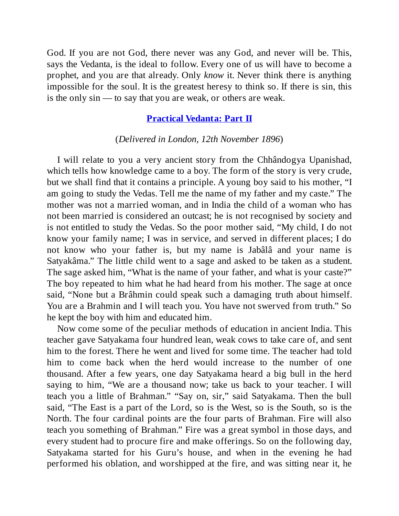God. If you are not God, there never was any God, and never will be. This, says the Vedanta, is the ideal to follow. Every one of us will have to become a prophet, and you are that already. Only *know* it. Never think there is anything impossible for the soul. It is the greatest heresy to think so. If there is sin, this is the only sin — to say that you are weak, or others are weak.

## **Practical Vedanta: Part II**

#### (*Delivered in London, 12th November 1896*)

I will relate to you a very ancient story from the Chhândogya Upanishad, which tells how knowledge came to a boy. The form of the story is very crude, but we shall find that it contains a principle. A young boy said to his mother, "I am going to study the Vedas. Tell me the name of my father and my caste." The mother was not a married woman, and in India the child of a woman who has not been married is considered an outcast; he is not recognised by society and is not entitled to study the Vedas. So the poor mother said, "My child, I do not know your family name; I was in service, and served in different places; I do not know who your father is, but my name is Jabâlâ and your name is Satyakâma." The little child went to a sage and asked to be taken as a student. The sage asked him, "What is the name of your father, and what is your caste?" The boy repeated to him what he had heard from his mother. The sage at once said, "None but a Brâhmin could speak such a damaging truth about himself. You are a Brahmin and I will teach you. You have not swerved from truth." So he kept the boy with him and educated him.

Now come some of the peculiar methods of education in ancient India. This teacher gave Satyakama four hundred lean, weak cows to take care of, and sent him to the forest. There he went and lived for some time. The teacher had told him to come back when the herd would increase to the number of one thousand. After a few years, one day Satyakama heard a big bull in the herd saying to him, "We are a thousand now; take us back to your teacher. I will teach you a little of Brahman." "Say on, sir," said Satyakama. Then the bull said, "The East is a part of the Lord, so is the West, so is the South, so is the North. The four cardinal points are the four parts of Brahman. Fire will also teach you something of Brahman." Fire was a great symbol in those days, and every student had to procure fire and make offerings. So on the following day, Satyakama started for his Guru's house, and when in the evening he had performed his oblation, and worshipped at the fire, and was sitting near it, he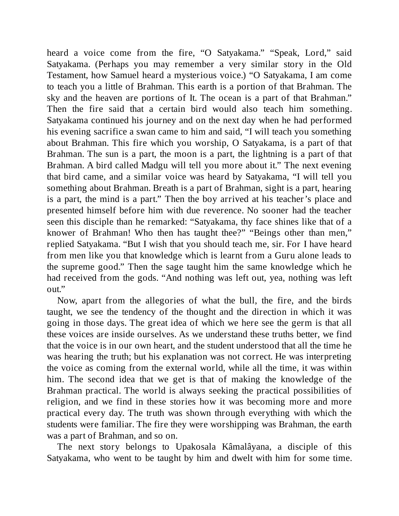heard a voice come from the fire, "O Satyakama." "Speak, Lord," said Satyakama. (Perhaps you may remember a very similar story in the Old Testament, how Samuel heard a mysterious voice.) "O Satyakama, I am come to teach you a little of Brahman. This earth is a portion of that Brahman. The sky and the heaven are portions of It. The ocean is a part of that Brahman." Then the fire said that a certain bird would also teach him something. Satyakama continued his journey and on the next day when he had performed his evening sacrifice a swan came to him and said, "I will teach you something about Brahman. This fire which you worship, O Satyakama, is a part of that Brahman. The sun is a part, the moon is a part, the lightning is a part of that Brahman. A bird called Madgu will tell you more about it." The next evening that bird came, and a similar voice was heard by Satyakama, "I will tell you something about Brahman. Breath is a part of Brahman, sight is a part, hearing is a part, the mind is a part." Then the boy arrived at his teacher's place and presented himself before him with due reverence. No sooner had the teacher seen this disciple than he remarked: "Satyakama, thy face shines like that of a knower of Brahman! Who then has taught thee?" "Beings other than men," replied Satyakama. "But I wish that you should teach me, sir. For I have heard from men like you that knowledge which is learnt from a Guru alone leads to the supreme good." Then the sage taught him the same knowledge which he had received from the gods. "And nothing was left out, yea, nothing was left out."

Now, apart from the allegories of what the bull, the fire, and the birds taught, we see the tendency of the thought and the direction in which it was going in those days. The great idea of which we here see the germ is that all these voices are inside ourselves. As we understand these truths better, we find that the voice is in our own heart, and the student understood that all the time he was hearing the truth; but his explanation was not correct. He was interpreting the voice as coming from the external world, while all the time, it was within him. The second idea that we get is that of making the knowledge of the Brahman practical. The world is always seeking the practical possibilities of religion, and we find in these stories how it was becoming more and more practical every day. The truth was shown through everything with which the students were familiar. The fire they were worshipping was Brahman, the earth was a part of Brahman, and so on.

The next story belongs to Upakosala Kâmalâyana, a disciple of this Satyakama, who went to be taught by him and dwelt with him for some time.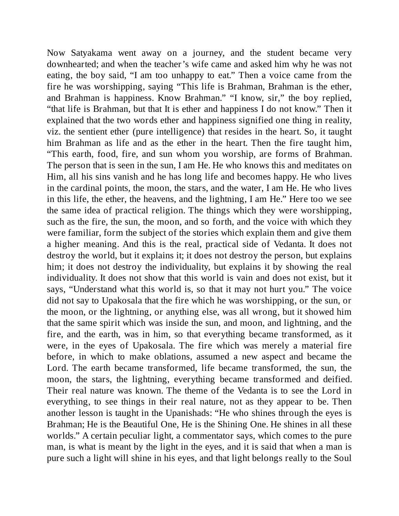Now Satyakama went away on a journey, and the student became very downhearted; and when the teacher's wife came and asked him why he was not eating, the boy said, "I am too unhappy to eat." Then a voice came from the fire he was worshipping, saying "This life is Brahman, Brahman is the ether, and Brahman is happiness. Know Brahman." "I know, sir," the boy replied, "that life is Brahman, but that It is ether and happiness I do not know." Then it explained that the two words ether and happiness signified one thing in reality, viz. the sentient ether (pure intelligence) that resides in the heart. So, it taught him Brahman as life and as the ether in the heart. Then the fire taught him, "This earth, food, fire, and sun whom you worship, are forms of Brahman. The person that is seen in the sun, I am He. He who knows this and meditates on Him, all his sins vanish and he has long life and becomes happy. He who lives in the cardinal points, the moon, the stars, and the water, I am He. He who lives in this life, the ether, the heavens, and the lightning, I am He." Here too we see the same idea of practical religion. The things which they were worshipping, such as the fire, the sun, the moon, and so forth, and the voice with which they were familiar, form the subject of the stories which explain them and give them a higher meaning. And this is the real, practical side of Vedanta. It does not destroy the world, but it explains it; it does not destroy the person, but explains him; it does not destroy the individuality, but explains it by showing the real individuality. It does not show that this world is vain and does not exist, but it says, "Understand what this world is, so that it may not hurt you." The voice did not say to Upakosala that the fire which he was worshipping, or the sun, or the moon, or the lightning, or anything else, was all wrong, but it showed him that the same spirit which was inside the sun, and moon, and lightning, and the fire, and the earth, was in him, so that everything became transformed, as it were, in the eyes of Upakosala. The fire which was merely a material fire before, in which to make oblations, assumed a new aspect and became the Lord. The earth became transformed, life became transformed, the sun, the moon, the stars, the lightning, everything became transformed and deified. Their real nature was known. The theme of the Vedanta is to see the Lord in everything, to see things in their real nature, not as they appear to be. Then another lesson is taught in the Upanishads: "He who shines through the eyes is Brahman; He is the Beautiful One, He is the Shining One. He shines in all these worlds." A certain peculiar light, a commentator says, which comes to the pure man, is what is meant by the light in the eyes, and it is said that when a man is pure such a light will shine in his eyes, and that light belongs really to the Soul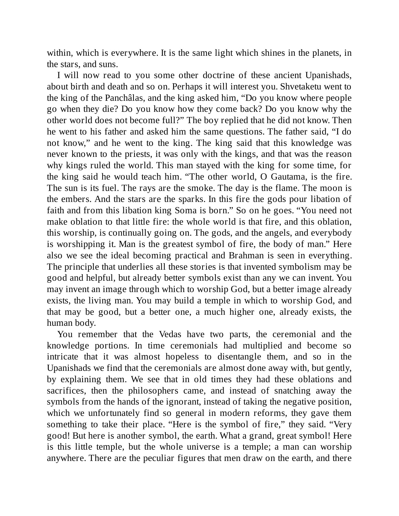within, which is everywhere. It is the same light which shines in the planets, in the stars, and suns.

I will now read to you some other doctrine of these ancient Upanishads, about birth and death and so on. Perhaps it will interest you. Shvetaketu went to the king of the Panchâlas, and the king asked him, "Do you know where people go when they die? Do you know how they come back? Do you know why the other world does not become full?" The boy replied that he did not know. Then he went to his father and asked him the same questions. The father said, "I do not know," and he went to the king. The king said that this knowledge was never known to the priests, it was only with the kings, and that was the reason why kings ruled the world. This man stayed with the king for some time, for the king said he would teach him. "The other world, O Gautama, is the fire. The sun is its fuel. The rays are the smoke. The day is the flame. The moon is the embers. And the stars are the sparks. In this fire the gods pour libation of faith and from this libation king Soma is born." So on he goes. "You need not make oblation to that little fire: the whole world is that fire, and this oblation, this worship, is continually going on. The gods, and the angels, and everybody is worshipping it. Man is the greatest symbol of fire, the body of man." Here also we see the ideal becoming practical and Brahman is seen in everything. The principle that underlies all these stories is that invented symbolism may be good and helpful, but already better symbols exist than any we can invent. You may invent an image through which to worship God, but a better image already exists, the living man. You may build a temple in which to worship God, and that may be good, but a better one, a much higher one, already exists, the human body.

You remember that the Vedas have two parts, the ceremonial and the knowledge portions. In time ceremonials had multiplied and become so intricate that it was almost hopeless to disentangle them, and so in the Upanishads we find that the ceremonials are almost done away with, but gently, by explaining them. We see that in old times they had these oblations and sacrifices, then the philosophers came, and instead of snatching away the symbols from the hands of the ignorant, instead of taking the negative position, which we unfortunately find so general in modern reforms, they gave them something to take their place. "Here is the symbol of fire," they said. "Very good! But here is another symbol, the earth. What a grand, great symbol! Here is this little temple, but the whole universe is a temple; a man can worship anywhere. There are the peculiar figures that men draw on the earth, and there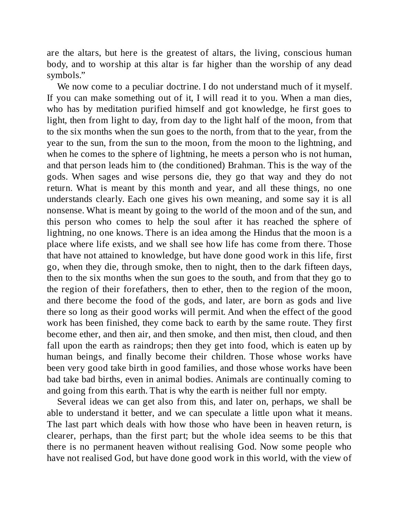are the altars, but here is the greatest of altars, the living, conscious human body, and to worship at this altar is far higher than the worship of any dead symbols."

We now come to a peculiar doctrine. I do not understand much of it myself. If you can make something out of it, I will read it to you. When a man dies, who has by meditation purified himself and got knowledge, he first goes to light, then from light to day, from day to the light half of the moon, from that to the six months when the sun goes to the north, from that to the year, from the year to the sun, from the sun to the moon, from the moon to the lightning, and when he comes to the sphere of lightning, he meets a person who is not human, and that person leads him to (the conditioned) Brahman. This is the way of the gods. When sages and wise persons die, they go that way and they do not return. What is meant by this month and year, and all these things, no one understands clearly. Each one gives his own meaning, and some say it is all nonsense. What is meant by going to the world of the moon and of the sun, and this person who comes to help the soul after it has reached the sphere of lightning, no one knows. There is an idea among the Hindus that the moon is a place where life exists, and we shall see how life has come from there. Those that have not attained to knowledge, but have done good work in this life, first go, when they die, through smoke, then to night, then to the dark fifteen days, then to the six months when the sun goes to the south, and from that they go to the region of their forefathers, then to ether, then to the region of the moon, and there become the food of the gods, and later, are born as gods and live there so long as their good works will permit. And when the effect of the good work has been finished, they come back to earth by the same route. They first become ether, and then air, and then smoke, and then mist, then cloud, and then fall upon the earth as raindrops; then they get into food, which is eaten up by human beings, and finally become their children. Those whose works have been very good take birth in good families, and those whose works have been bad take bad births, even in animal bodies. Animals are continually coming to and going from this earth. That is why the earth is neither full nor empty.

Several ideas we can get also from this, and later on, perhaps, we shall be able to understand it better, and we can speculate a little upon what it means. The last part which deals with how those who have been in heaven return, is clearer, perhaps, than the first part; but the whole idea seems to be this that there is no permanent heaven without realising God. Now some people who have not realised God, but have done good work in this world, with the view of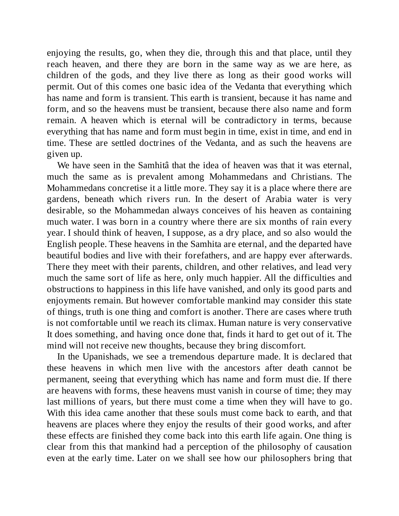enjoying the results, go, when they die, through this and that place, until they reach heaven, and there they are born in the same way as we are here, as children of the gods, and they live there as long as their good works will permit. Out of this comes one basic idea of the Vedanta that everything which has name and form is transient. This earth is transient, because it has name and form, and so the heavens must be transient, because there also name and form remain. A heaven which is eternal will be contradictory in terms, because everything that has name and form must begin in time, exist in time, and end in time. These are settled doctrines of the Vedanta, and as such the heavens are given up.

We have seen in the Samhitâ that the idea of heaven was that it was eternal, much the same as is prevalent among Mohammedans and Christians. The Mohammedans concretise it a little more. They say it is a place where there are gardens, beneath which rivers run. In the desert of Arabia water is very desirable, so the Mohammedan always conceives of his heaven as containing much water. I was born in a country where there are six months of rain every year. I should think of heaven, I suppose, as a dry place, and so also would the English people. These heavens in the Samhita are eternal, and the departed have beautiful bodies and live with their forefathers, and are happy ever afterwards. There they meet with their parents, children, and other relatives, and lead very much the same sort of life as here, only much happier. All the difficulties and obstructions to happiness in this life have vanished, and only its good parts and enjoyments remain. But however comfortable mankind may consider this state of things, truth is one thing and comfort is another. There are cases where truth is not comfortable until we reach its climax. Human nature is very conservative It does something, and having once done that, finds it hard to get out of it. The mind will not receive new thoughts, because they bring discomfort.

In the Upanishads, we see a tremendous departure made. It is declared that these heavens in which men live with the ancestors after death cannot be permanent, seeing that everything which has name and form must die. If there are heavens with forms, these heavens must vanish in course of time; they may last millions of years, but there must come a time when they will have to go. With this idea came another that these souls must come back to earth, and that heavens are places where they enjoy the results of their good works, and after these effects are finished they come back into this earth life again. One thing is clear from this that mankind had a perception of the philosophy of causation even at the early time. Later on we shall see how our philosophers bring that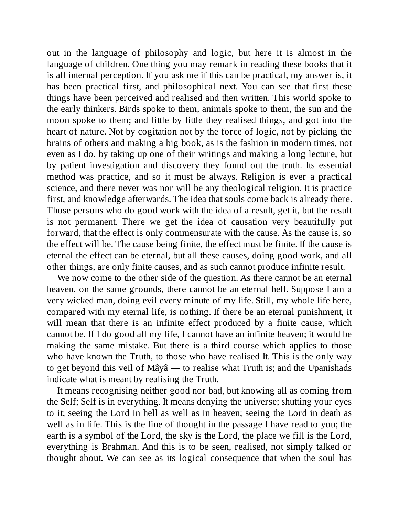out in the language of philosophy and logic, but here it is almost in the language of children. One thing you may remark in reading these books that it is all internal perception. If you ask me if this can be practical, my answer is, it has been practical first, and philosophical next. You can see that first these things have been perceived and realised and then written. This world spoke to the early thinkers. Birds spoke to them, animals spoke to them, the sun and the moon spoke to them; and little by little they realised things, and got into the heart of nature. Not by cogitation not by the force of logic, not by picking the brains of others and making a big book, as is the fashion in modern times, not even as I do, by taking up one of their writings and making a long lecture, but by patient investigation and discovery they found out the truth. Its essential method was practice, and so it must be always. Religion is ever a practical science, and there never was nor will be any theological religion. It is practice first, and knowledge afterwards. The idea that souls come back is already there. Those persons who do good work with the idea of a result, get it, but the result is not permanent. There we get the idea of causation very beautifully put forward, that the effect is only commensurate with the cause. As the cause is, so the effect will be. The cause being finite, the effect must be finite. If the cause is eternal the effect can be eternal, but all these causes, doing good work, and all other things, are only finite causes, and as such cannot produce infinite result.

We now come to the other side of the question. As there cannot be an eternal heaven, on the same grounds, there cannot be an eternal hell. Suppose I am a very wicked man, doing evil every minute of my life. Still, my whole life here, compared with my eternal life, is nothing. If there be an eternal punishment, it will mean that there is an infinite effect produced by a finite cause, which cannot be. If I do good all my life, I cannot have an infinite heaven; it would be making the same mistake. But there is a third course which applies to those who have known the Truth, to those who have realised It. This is the only way to get beyond this veil of Mâyâ — to realise what Truth is; and the Upanishads indicate what is meant by realising the Truth.

It means recognising neither good nor bad, but knowing all as coming from the Self; Self is in everything. It means denying the universe; shutting your eyes to it; seeing the Lord in hell as well as in heaven; seeing the Lord in death as well as in life. This is the line of thought in the passage I have read to you; the earth is a symbol of the Lord, the sky is the Lord, the place we fill is the Lord, everything is Brahman. And this is to be seen, realised, not simply talked or thought about. We can see as its logical consequence that when the soul has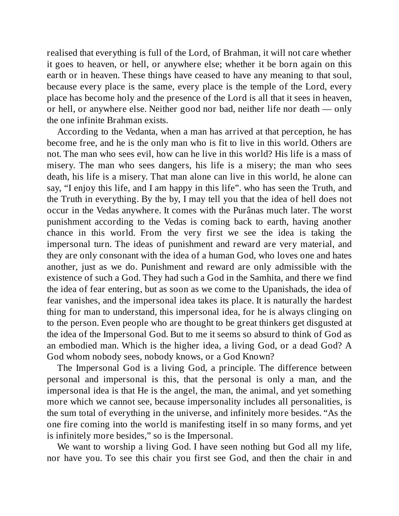realised that everything is full of the Lord, of Brahman, it will not care whether it goes to heaven, or hell, or anywhere else; whether it be born again on this earth or in heaven. These things have ceased to have any meaning to that soul, because every place is the same, every place is the temple of the Lord, every place has become holy and the presence of the Lord is all that it sees in heaven, or hell, or anywhere else. Neither good nor bad, neither life nor death — only the one infinite Brahman exists.

According to the Vedanta, when a man has arrived at that perception, he has become free, and he is the only man who is fit to live in this world. Others are not. The man who sees evil, how can he live in this world? His life is a mass of misery. The man who sees dangers, his life is a misery; the man who sees death, his life is a misery. That man alone can live in this world, he alone can say, "I enjoy this life, and I am happy in this life". who has seen the Truth, and the Truth in everything. By the by, I may tell you that the idea of hell does not occur in the Vedas anywhere. It comes with the Purânas much later. The worst punishment according to the Vedas is coming back to earth, having another chance in this world. From the very first we see the idea is taking the impersonal turn. The ideas of punishment and reward are very material, and they are only consonant with the idea of a human God, who loves one and hates another, just as we do. Punishment and reward are only admissible with the existence of such a God. They had such a God in the Samhita, and there we find the idea of fear entering, but as soon as we come to the Upanishads, the idea of fear vanishes, and the impersonal idea takes its place. It is naturally the hardest thing for man to understand, this impersonal idea, for he is always clinging on to the person. Even people who are thought to be great thinkers get disgusted at the idea of the Impersonal God. But to me it seems so absurd to think of God as an embodied man. Which is the higher idea, a living God, or a dead God? A God whom nobody sees, nobody knows, or a God Known?

The Impersonal God is a living God, a principle. The difference between personal and impersonal is this, that the personal is only a man, and the impersonal idea is that He is the angel, the man, the animal, and yet something more which we cannot see, because impersonality includes all personalities, is the sum total of everything in the universe, and infinitely more besides. "As the one fire coming into the world is manifesting itself in so many forms, and yet is infinitely more besides," so is the Impersonal.

We want to worship a living God. I have seen nothing but God all my life, nor have you. To see this chair you first see God, and then the chair in and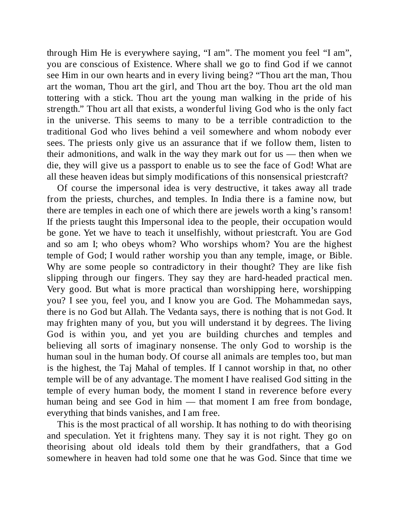through Him He is everywhere saying, "I am". The moment you feel "I am", you are conscious of Existence. Where shall we go to find God if we cannot see Him in our own hearts and in every living being? "Thou art the man, Thou art the woman, Thou art the girl, and Thou art the boy. Thou art the old man tottering with a stick. Thou art the young man walking in the pride of his strength." Thou art all that exists, a wonderful living God who is the only fact in the universe. This seems to many to be a terrible contradiction to the traditional God who lives behind a veil somewhere and whom nobody ever sees. The priests only give us an assurance that if we follow them, listen to their admonitions, and walk in the way they mark out for us — then when we die, they will give us a passport to enable us to see the face of God! What are all these heaven ideas but simply modifications of this nonsensical priestcraft?

Of course the impersonal idea is very destructive, it takes away all trade from the priests, churches, and temples. In India there is a famine now, but there are temples in each one of which there are jewels worth a king's ransom! If the priests taught this Impersonal idea to the people, their occupation would be gone. Yet we have to teach it unselfishly, without priestcraft. You are God and so am I; who obeys whom? Who worships whom? You are the highest temple of God; I would rather worship you than any temple, image, or Bible. Why are some people so contradictory in their thought? They are like fish slipping through our fingers. They say they are hard-headed practical men. Very good. But what is more practical than worshipping here, worshipping you? I see you, feel you, and I know you are God. The Mohammedan says, there is no God but Allah. The Vedanta says, there is nothing that is not God. It may frighten many of you, but you will understand it by degrees. The living God is within you, and yet you are building churches and temples and believing all sorts of imaginary nonsense. The only God to worship is the human soul in the human body. Of course all animals are temples too, but man is the highest, the Taj Mahal of temples. If I cannot worship in that, no other temple will be of any advantage. The moment I have realised God sitting in the temple of every human body, the moment I stand in reverence before every human being and see God in him — that moment I am free from bondage, everything that binds vanishes, and I am free.

This is the most practical of all worship. It has nothing to do with theorising and speculation. Yet it frightens many. They say it is not right. They go on theorising about old ideals told them by their grandfathers, that a God somewhere in heaven had told some one that he was God. Since that time we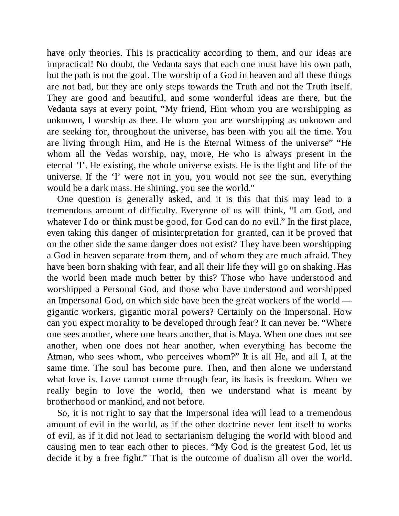have only theories. This is practicality according to them, and our ideas are impractical! No doubt, the Vedanta says that each one must have his own path, but the path is not the goal. The worship of a God in heaven and all these things are not bad, but they are only steps towards the Truth and not the Truth itself. They are good and beautiful, and some wonderful ideas are there, but the Vedanta says at every point, "My friend, Him whom you are worshipping as unknown, I worship as thee. He whom you are worshipping as unknown and are seeking for, throughout the universe, has been with you all the time. You are living through Him, and He is the Eternal Witness of the universe" "He whom all the Vedas worship, nay, more, He who is always present in the eternal 'I'. He existing, the whole universe exists. He is the light and life of the universe. If the 'I' were not in you, you would not see the sun, everything would be a dark mass. He shining, you see the world."

One question is generally asked, and it is this that this may lead to a tremendous amount of difficulty. Everyone of us will think, "I am God, and whatever I do or think must be good, for God can do no evil." In the first place, even taking this danger of misinterpretation for granted, can it be proved that on the other side the same danger does not exist? They have been worshipping a God in heaven separate from them, and of whom they are much afraid. They have been born shaking with fear, and all their life they will go on shaking. Has the world been made much better by this? Those who have understood and worshipped a Personal God, and those who have understood and worshipped an Impersonal God, on which side have been the great workers of the world gigantic workers, gigantic moral powers? Certainly on the Impersonal. How can you expect morality to be developed through fear? It can never be. "Where one sees another, where one hears another, that is Maya. When one does not see another, when one does not hear another, when everything has become the Atman, who sees whom, who perceives whom?" It is all He, and all I, at the same time. The soul has become pure. Then, and then alone we understand what love is. Love cannot come through fear, its basis is freedom. When we really begin to love the world, then we understand what is meant by brotherhood or mankind, and not before.

So, it is not right to say that the Impersonal idea will lead to a tremendous amount of evil in the world, as if the other doctrine never lent itself to works of evil, as if it did not lead to sectarianism deluging the world with blood and causing men to tear each other to pieces. "My God is the greatest God, let us decide it by a free fight." That is the outcome of dualism all over the world.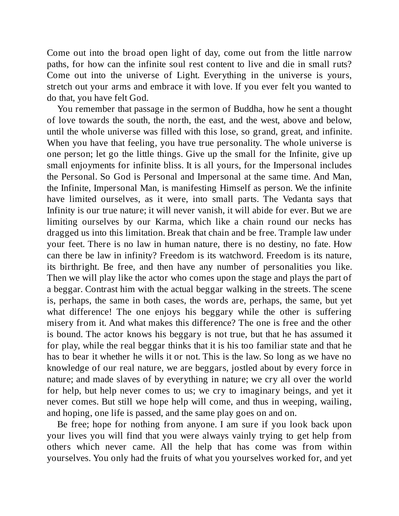Come out into the broad open light of day, come out from the little narrow paths, for how can the infinite soul rest content to live and die in small ruts? Come out into the universe of Light. Everything in the universe is yours, stretch out your arms and embrace it with love. If you ever felt you wanted to do that, you have felt God.

You remember that passage in the sermon of Buddha, how he sent a thought of love towards the south, the north, the east, and the west, above and below, until the whole universe was filled with this lose, so grand, great, and infinite. When you have that feeling, you have true personality. The whole universe is one person; let go the little things. Give up the small for the Infinite, give up small enjoyments for infinite bliss. It is all yours, for the Impersonal includes the Personal. So God is Personal and Impersonal at the same time. And Man, the Infinite, Impersonal Man, is manifesting Himself as person. We the infinite have limited ourselves, as it were, into small parts. The Vedanta says that Infinity is our true nature; it will never vanish, it will abide for ever. But we are limiting ourselves by our Karma, which like a chain round our necks has dragged us into this limitation. Break that chain and be free. Trample law under your feet. There is no law in human nature, there is no destiny, no fate. How can there be law in infinity? Freedom is its watchword. Freedom is its nature, its birthright. Be free, and then have any number of personalities you like. Then we will play like the actor who comes upon the stage and plays the part of a beggar. Contrast him with the actual beggar walking in the streets. The scene is, perhaps, the same in both cases, the words are, perhaps, the same, but yet what difference! The one enjoys his beggary while the other is suffering misery from it. And what makes this difference? The one is free and the other is bound. The actor knows his beggary is not true, but that he has assumed it for play, while the real beggar thinks that it is his too familiar state and that he has to bear it whether he wills it or not. This is the law. So long as we have no knowledge of our real nature, we are beggars, jostled about by every force in nature; and made slaves of by everything in nature; we cry all over the world for help, but help never comes to us; we cry to imaginary beings, and yet it never comes. But still we hope help will come, and thus in weeping, wailing, and hoping, one life is passed, and the same play goes on and on.

Be free; hope for nothing from anyone. I am sure if you look back upon your lives you will find that you were always vainly trying to get help from others which never came. All the help that has come was from within yourselves. You only had the fruits of what you yourselves worked for, and yet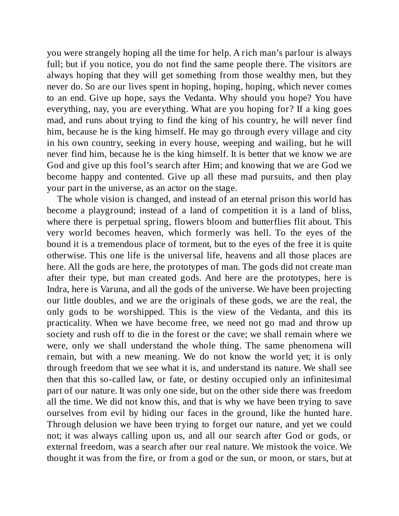you were strangely hoping all the time for help. A rich man's parlour is always full; but if you notice, you do not find the same people there. The visitors are always hoping that they will get something from those wealthy men, but they never do. So are our lives spent in hoping, hoping, hoping, which never comes to an end. Give up hope, says the Vedanta. Why should you hope? You have everything, nay, you are everything. What are you hoping for? If a king goes mad, and runs about trying to find the king of his country, he will never find him, because he is the king himself. He may go through every village and city in his own country, seeking in every house, weeping and wailing, but he will never find him, because he is the king himself. It is better that we know we are God and give up this fool's search after Him; and knowing that we are God we become happy and contented. Give up all these mad pursuits, and then play your part in the universe, as an actor on the stage.

The whole vision is changed, and instead of an eternal prison this world has become a playground; instead of a land of competition it is a land of bliss, where there is perpetual spring, flowers bloom and butterflies flit about. This very world becomes heaven, which formerly was hell. To the eyes of the bound it is a tremendous place of torment, but to the eyes of the free it is quite otherwise. This one life is the universal life, heavens and all those places are here. All the gods are here, the prototypes of man. The gods did not create man after their type, but man created gods. And here are the prototypes, here is Indra, here is Varuna, and all the gods of the universe. We have been projecting our little doubles, and we are the originals of these gods, we are the real, the only gods to be worshipped. This is the view of the Vedanta, and this its practicality. When we have become free, we need not go mad and throw up society and rush off to die in the forest or the cave; we shall remain where we were, only we shall understand the whole thing. The same phenomena will remain, but with a new meaning. We do not know the world yet; it is only through freedom that we see what it is, and understand its nature. We shall see then that this so-called law, or fate, or destiny occupied only an infinitesimal part of our nature. It was only one side, but on the other side there was freedom all the time. We did not know this, and that is why we have been trying to save ourselves from evil by hiding our faces in the ground, like the hunted hare. Through delusion we have been trying to forget our nature, and yet we could not; it was always calling upon us, and all our search after God or gods, or external freedom, was a search after our real nature. We mistook the voice. We thought it was from the fire, or from a god or the sun, or moon, or stars, but at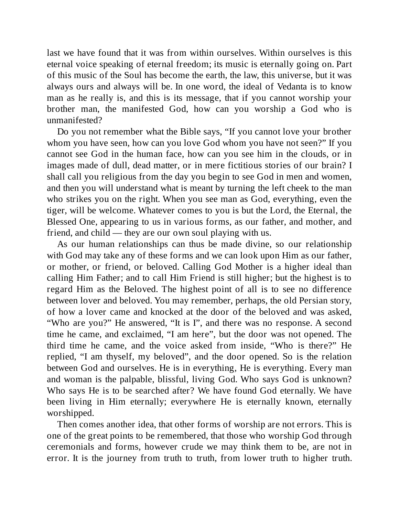last we have found that it was from within ourselves. Within ourselves is this eternal voice speaking of eternal freedom; its music is eternally going on. Part of this music of the Soul has become the earth, the law, this universe, but it was always ours and always will be. In one word, the ideal of Vedanta is to know man as he really is, and this is its message, that if you cannot worship your brother man, the manifested God, how can you worship a God who is unmanifested?

Do you not remember what the Bible says, "If you cannot love your brother whom you have seen, how can you love God whom you have not seen?" If you cannot see God in the human face, how can you see him in the clouds, or in images made of dull, dead matter, or in mere fictitious stories of our brain? I shall call you religious from the day you begin to see God in men and women, and then you will understand what is meant by turning the left cheek to the man who strikes you on the right. When you see man as God, everything, even the tiger, will be welcome. Whatever comes to you is but the Lord, the Eternal, the Blessed One, appearing to us in various forms, as our father, and mother, and friend, and child — they are our own soul playing with us.

As our human relationships can thus be made divine, so our relationship with God may take any of these forms and we can look upon Him as our father, or mother, or friend, or beloved. Calling God Mother is a higher ideal than calling Him Father; and to call Him Friend is still higher; but the highest is to regard Him as the Beloved. The highest point of all is to see no difference between lover and beloved. You may remember, perhaps, the old Persian story, of how a lover came and knocked at the door of the beloved and was asked, "Who are you?" He answered, "It is I", and there was no response. A second time he came, and exclaimed, "I am here", but the door was not opened. The third time he came, and the voice asked from inside, "Who is there?" He replied, "I am thyself, my beloved", and the door opened. So is the relation between God and ourselves. He is in everything, He is everything. Every man and woman is the palpable, blissful, living God. Who says God is unknown? Who says He is to be searched after? We have found God eternally. We have been living in Him eternally; everywhere He is eternally known, eternally worshipped.

Then comes another idea, that other forms of worship are not errors. This is one of the great points to be remembered, that those who worship God through ceremonials and forms, however crude we may think them to be, are not in error. It is the journey from truth to truth, from lower truth to higher truth.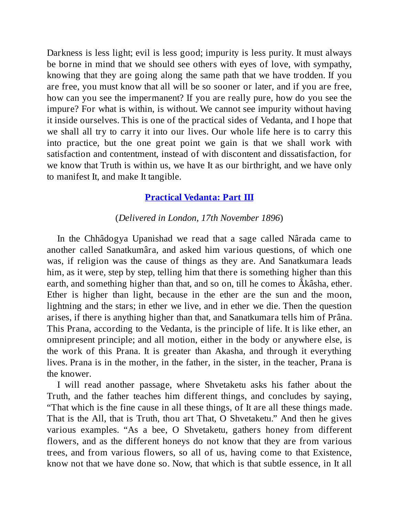Darkness is less light; evil is less good; impurity is less purity. It must always be borne in mind that we should see others with eyes of love, with sympathy, knowing that they are going along the same path that we have trodden. If you are free, you must know that all will be so sooner or later, and if you are free, how can you see the impermanent? If you are really pure, how do you see the impure? For what is within, is without. We cannot see impurity without having it inside ourselves. This is one of the practical sides of Vedanta, and I hope that we shall all try to carry it into our lives. Our whole life here is to carry this into practice, but the one great point we gain is that we shall work with satisfaction and contentment, instead of with discontent and dissatisfaction, for we know that Truth is within us, we have It as our birthright, and we have only to manifest It, and make It tangible.

### **Practical Vedanta: Part III**

#### (*Delivered in London, 17th November 1896*)

In the Chhâdogya Upanishad we read that a sage called Nârada came to another called Sanatkumâra, and asked him various questions, of which one was, if religion was the cause of things as they are. And Sanatkumara leads him, as it were, step by step, telling him that there is something higher than this earth, and something higher than that, and so on, till he comes to Âkâsha, ether. Ether is higher than light, because in the ether are the sun and the moon, lightning and the stars; in ether we live, and in ether we die. Then the question arises, if there is anything higher than that, and Sanatkumara tells him of Prâna. This Prana, according to the Vedanta, is the principle of life. It is like ether, an omnipresent principle; and all motion, either in the body or anywhere else, is the work of this Prana. It is greater than Akasha, and through it everything lives. Prana is in the mother, in the father, in the sister, in the teacher, Prana is the knower.

I will read another passage, where Shvetaketu asks his father about the Truth, and the father teaches him different things, and concludes by saying, "That which is the fine cause in all these things, of It are all these things made. That is the All, that is Truth, thou art That, O Shvetaketu." And then he gives various examples. "As a bee, O Shvetaketu, gathers honey from different flowers, and as the different honeys do not know that they are from various trees, and from various flowers, so all of us, having come to that Existence, know not that we have done so. Now, that which is that subtle essence, in It all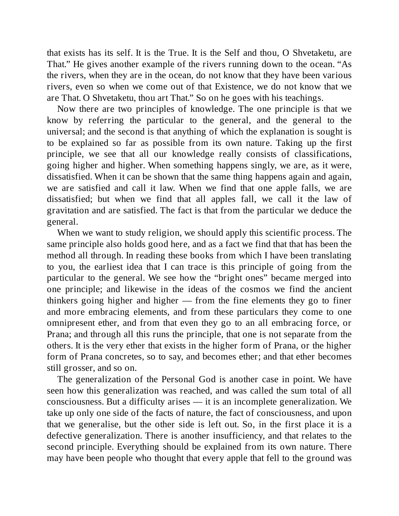that exists has its self. It is the True. It is the Self and thou, O Shvetaketu, are That." He gives another example of the rivers running down to the ocean. "As the rivers, when they are in the ocean, do not know that they have been various rivers, even so when we come out of that Existence, we do not know that we are That. O Shvetaketu, thou art That." So on he goes with his teachings.

Now there are two principles of knowledge. The one principle is that we know by referring the particular to the general, and the general to the universal; and the second is that anything of which the explanation is sought is to be explained so far as possible from its own nature. Taking up the first principle, we see that all our knowledge really consists of classifications, going higher and higher. When something happens singly, we are, as it were, dissatisfied. When it can be shown that the same thing happens again and again, we are satisfied and call it law. When we find that one apple falls, we are dissatisfied; but when we find that all apples fall, we call it the law of gravitation and are satisfied. The fact is that from the particular we deduce the general.

When we want to study religion, we should apply this scientific process. The same principle also holds good here, and as a fact we find that that has been the method all through. In reading these books from which I have been translating to you, the earliest idea that I can trace is this principle of going from the particular to the general. We see how the "bright ones" became merged into one principle; and likewise in the ideas of the cosmos we find the ancient thinkers going higher and higher — from the fine elements they go to finer and more embracing elements, and from these particulars they come to one omnipresent ether, and from that even they go to an all embracing force, or Prana; and through all this runs the principle, that one is not separate from the others. It is the very ether that exists in the higher form of Prana, or the higher form of Prana concretes, so to say, and becomes ether; and that ether becomes still grosser, and so on.

The generalization of the Personal God is another case in point. We have seen how this generalization was reached, and was called the sum total of all consciousness. But a difficulty arises — it is an incomplete generalization. We take up only one side of the facts of nature, the fact of consciousness, and upon that we generalise, but the other side is left out. So, in the first place it is a defective generalization. There is another insufficiency, and that relates to the second principle. Everything should be explained from its own nature. There may have been people who thought that every apple that fell to the ground was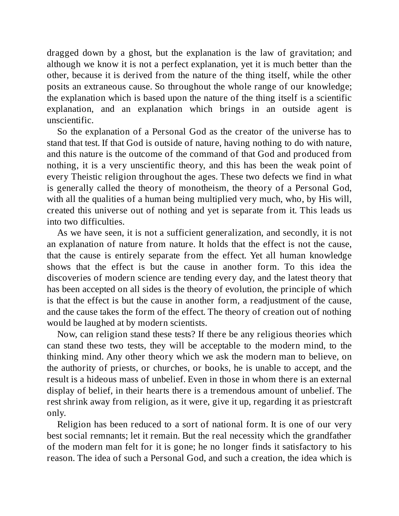dragged down by a ghost, but the explanation is the law of gravitation; and although we know it is not a perfect explanation, yet it is much better than the other, because it is derived from the nature of the thing itself, while the other posits an extraneous cause. So throughout the whole range of our knowledge; the explanation which is based upon the nature of the thing itself is a scientific explanation, and an explanation which brings in an outside agent is unscientific.

So the explanation of a Personal God as the creator of the universe has to stand that test. If that God is outside of nature, having nothing to do with nature, and this nature is the outcome of the command of that God and produced from nothing, it is a very unscientific theory, and this has been the weak point of every Theistic religion throughout the ages. These two defects we find in what is generally called the theory of monotheism, the theory of a Personal God, with all the qualities of a human being multiplied very much, who, by His will, created this universe out of nothing and yet is separate from it. This leads us into two difficulties.

As we have seen, it is not a sufficient generalization, and secondly, it is not an explanation of nature from nature. It holds that the effect is not the cause, that the cause is entirely separate from the effect. Yet all human knowledge shows that the effect is but the cause in another form. To this idea the discoveries of modern science are tending every day, and the latest theory that has been accepted on all sides is the theory of evolution, the principle of which is that the effect is but the cause in another form, a readjustment of the cause, and the cause takes the form of the effect. The theory of creation out of nothing would be laughed at by modern scientists.

Now, can religion stand these tests? If there be any religious theories which can stand these two tests, they will be acceptable to the modern mind, to the thinking mind. Any other theory which we ask the modern man to believe, on the authority of priests, or churches, or books, he is unable to accept, and the result is a hideous mass of unbelief. Even in those in whom there is an external display of belief, in their hearts there is a tremendous amount of unbelief. The rest shrink away from religion, as it were, give it up, regarding it as priestcraft only.

Religion has been reduced to a sort of national form. It is one of our very best social remnants; let it remain. But the real necessity which the grandfather of the modern man felt for it is gone; he no longer finds it satisfactory to his reason. The idea of such a Personal God, and such a creation, the idea which is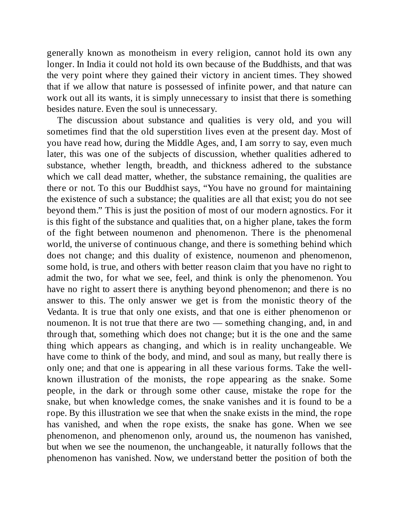generally known as monotheism in every religion, cannot hold its own any longer. In India it could not hold its own because of the Buddhists, and that was the very point where they gained their victory in ancient times. They showed that if we allow that nature is possessed of infinite power, and that nature can work out all its wants, it is simply unnecessary to insist that there is something besides nature. Even the soul is unnecessary.

The discussion about substance and qualities is very old, and you will sometimes find that the old superstition lives even at the present day. Most of you have read how, during the Middle Ages, and, I am sorry to say, even much later, this was one of the subjects of discussion, whether qualities adhered to substance, whether length, breadth, and thickness adhered to the substance which we call dead matter, whether, the substance remaining, the qualities are there or not. To this our Buddhist says, "You have no ground for maintaining the existence of such a substance; the qualities are all that exist; you do not see beyond them." This is just the position of most of our modern agnostics. For it is this fight of the substance and qualities that, on a higher plane, takes the form of the fight between noumenon and phenomenon. There is the phenomenal world, the universe of continuous change, and there is something behind which does not change; and this duality of existence, noumenon and phenomenon, some hold, is true, and others with better reason claim that you have no right to admit the two, for what we see, feel, and think is only the phenomenon. You have no right to assert there is anything beyond phenomenon; and there is no answer to this. The only answer we get is from the monistic theory of the Vedanta. It is true that only one exists, and that one is either phenomenon or noumenon. It is not true that there are two — something changing, and, in and through that, something which does not change; but it is the one and the same thing which appears as changing, and which is in reality unchangeable. We have come to think of the body, and mind, and soul as many, but really there is only one; and that one is appearing in all these various forms. Take the wellknown illustration of the monists, the rope appearing as the snake. Some people, in the dark or through some other cause, mistake the rope for the snake, but when knowledge comes, the snake vanishes and it is found to be a rope. By this illustration we see that when the snake exists in the mind, the rope has vanished, and when the rope exists, the snake has gone. When we see phenomenon, and phenomenon only, around us, the noumenon has vanished, but when we see the noumenon, the unchangeable, it naturally follows that the phenomenon has vanished. Now, we understand better the position of both the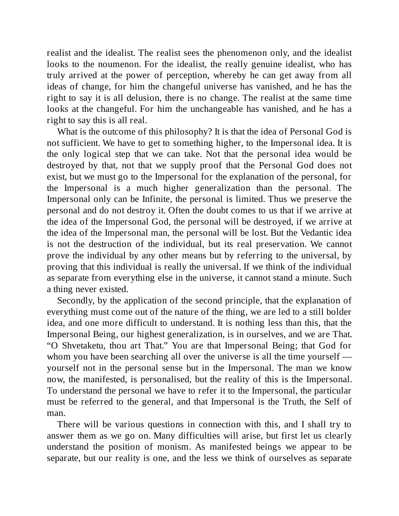realist and the idealist. The realist sees the phenomenon only, and the idealist looks to the noumenon. For the idealist, the really genuine idealist, who has truly arrived at the power of perception, whereby he can get away from all ideas of change, for him the changeful universe has vanished, and he has the right to say it is all delusion, there is no change. The realist at the same time looks at the changeful. For him the unchangeable has vanished, and he has a right to say this is all real.

What is the outcome of this philosophy? It is that the idea of Personal God is not sufficient. We have to get to something higher, to the Impersonal idea. It is the only logical step that we can take. Not that the personal idea would be destroyed by that, not that we supply proof that the Personal God does not exist, but we must go to the Impersonal for the explanation of the personal, for the Impersonal is a much higher generalization than the personal. The Impersonal only can be Infinite, the personal is limited. Thus we preserve the personal and do not destroy it. Often the doubt comes to us that if we arrive at the idea of the Impersonal God, the personal will be destroyed, if we arrive at the idea of the Impersonal man, the personal will be lost. But the Vedantic idea is not the destruction of the individual, but its real preservation. We cannot prove the individual by any other means but by referring to the universal, by proving that this individual is really the universal. If we think of the individual as separate from everything else in the universe, it cannot stand a minute. Such a thing never existed.

Secondly, by the application of the second principle, that the explanation of everything must come out of the nature of the thing, we are led to a still bolder idea, and one more difficult to understand. It is nothing less than this, that the Impersonal Being, our highest generalization, is in ourselves, and we are That. "O Shvetaketu, thou art That." You are that Impersonal Being; that God for whom you have been searching all over the universe is all the time yourself yourself not in the personal sense but in the Impersonal. The man we know now, the manifested, is personalised, but the reality of this is the Impersonal. To understand the personal we have to refer it to the Impersonal, the particular must be referred to the general, and that Impersonal is the Truth, the Self of man.

There will be various questions in connection with this, and I shall try to answer them as we go on. Many difficulties will arise, but first let us clearly understand the position of monism. As manifested beings we appear to be separate, but our reality is one, and the less we think of ourselves as separate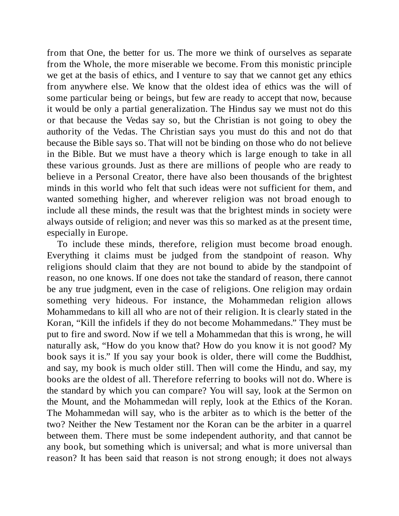from that One, the better for us. The more we think of ourselves as separate from the Whole, the more miserable we become. From this monistic principle we get at the basis of ethics, and I venture to say that we cannot get any ethics from anywhere else. We know that the oldest idea of ethics was the will of some particular being or beings, but few are ready to accept that now, because it would be only a partial generalization. The Hindus say we must not do this or that because the Vedas say so, but the Christian is not going to obey the authority of the Vedas. The Christian says you must do this and not do that because the Bible says so. That will not be binding on those who do not believe in the Bible. But we must have a theory which is large enough to take in all these various grounds. Just as there are millions of people who are ready to believe in a Personal Creator, there have also been thousands of the brightest minds in this world who felt that such ideas were not sufficient for them, and wanted something higher, and wherever religion was not broad enough to include all these minds, the result was that the brightest minds in society were always outside of religion; and never was this so marked as at the present time, especially in Europe.

To include these minds, therefore, religion must become broad enough. Everything it claims must be judged from the standpoint of reason. Why religions should claim that they are not bound to abide by the standpoint of reason, no one knows. If one does not take the standard of reason, there cannot be any true judgment, even in the case of religions. One religion may ordain something very hideous. For instance, the Mohammedan religion allows Mohammedans to kill all who are not of their religion. It is clearly stated in the Koran, "Kill the infidels if they do not become Mohammedans." They must be put to fire and sword. Now if we tell a Mohammedan that this is wrong, he will naturally ask, "How do you know that? How do you know it is not good? My book says it is." If you say your book is older, there will come the Buddhist, and say, my book is much older still. Then will come the Hindu, and say, my books are the oldest of all. Therefore referring to books will not do. Where is the standard by which you can compare? You will say, look at the Sermon on the Mount, and the Mohammedan will reply, look at the Ethics of the Koran. The Mohammedan will say, who is the arbiter as to which is the better of the two? Neither the New Testament nor the Koran can be the arbiter in a quarrel between them. There must be some independent authority, and that cannot be any book, but something which is universal; and what is more universal than reason? It has been said that reason is not strong enough; it does not always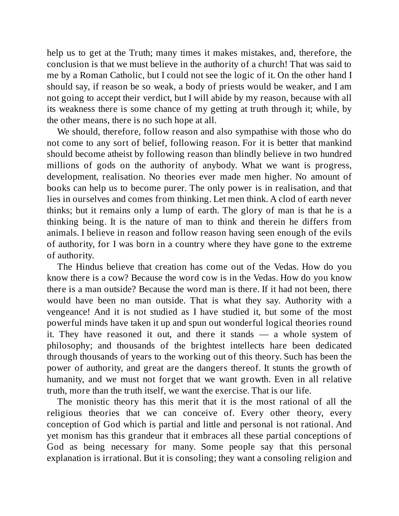help us to get at the Truth; many times it makes mistakes, and, therefore, the conclusion is that we must believe in the authority of a church! That was said to me by a Roman Catholic, but I could not see the logic of it. On the other hand I should say, if reason be so weak, a body of priests would be weaker, and I am not going to accept their verdict, but I will abide by my reason, because with all its weakness there is some chance of my getting at truth through it; while, by the other means, there is no such hope at all.

We should, therefore, follow reason and also sympathise with those who do not come to any sort of belief, following reason. For it is better that mankind should become atheist by following reason than blindly believe in two hundred millions of gods on the authority of anybody. What we want is progress, development, realisation. No theories ever made men higher. No amount of books can help us to become purer. The only power is in realisation, and that lies in ourselves and comes from thinking. Let men think. A clod of earth never thinks; but it remains only a lump of earth. The glory of man is that he is a thinking being. It is the nature of man to think and therein he differs from animals. I believe in reason and follow reason having seen enough of the evils of authority, for I was born in a country where they have gone to the extreme of authority.

The Hindus believe that creation has come out of the Vedas. How do you know there is a cow? Because the word cow is in the Vedas. How do you know there is a man outside? Because the word man is there. If it had not been, there would have been no man outside. That is what they say. Authority with a vengeance! And it is not studied as I have studied it, but some of the most powerful minds have taken it up and spun out wonderful logical theories round it. They have reasoned it out, and there it stands — a whole system of philosophy; and thousands of the brightest intellects hare been dedicated through thousands of years to the working out of this theory. Such has been the power of authority, and great are the dangers thereof. It stunts the growth of humanity, and we must not forget that we want growth. Even in all relative truth, more than the truth itself, we want the exercise. That is our life.

The monistic theory has this merit that it is the most rational of all the religious theories that we can conceive of. Every other theory, every conception of God which is partial and little and personal is not rational. And yet monism has this grandeur that it embraces all these partial conceptions of God as being necessary for many. Some people say that this personal explanation is irrational. But it is consoling; they want a consoling religion and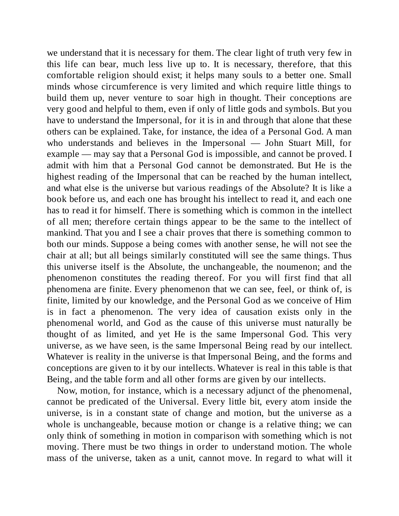we understand that it is necessary for them. The clear light of truth very few in this life can bear, much less live up to. It is necessary, therefore, that this comfortable religion should exist; it helps many souls to a better one. Small minds whose circumference is very limited and which require little things to build them up, never venture to soar high in thought. Their conceptions are very good and helpful to them, even if only of little gods and symbols. But you have to understand the Impersonal, for it is in and through that alone that these others can be explained. Take, for instance, the idea of a Personal God. A man who understands and believes in the Impersonal — John Stuart Mill, for example — may say that a Personal God is impossible, and cannot be proved. I admit with him that a Personal God cannot be demonstrated. But He is the highest reading of the Impersonal that can be reached by the human intellect, and what else is the universe but various readings of the Absolute? It is like a book before us, and each one has brought his intellect to read it, and each one has to read it for himself. There is something which is common in the intellect of all men; therefore certain things appear to be the same to the intellect of mankind. That you and I see a chair proves that there is something common to both our minds. Suppose a being comes with another sense, he will not see the chair at all; but all beings similarly constituted will see the same things. Thus this universe itself is the Absolute, the unchangeable, the noumenon; and the phenomenon constitutes the reading thereof. For you will first find that all phenomena are finite. Every phenomenon that we can see, feel, or think of, is finite, limited by our knowledge, and the Personal God as we conceive of Him is in fact a phenomenon. The very idea of causation exists only in the phenomenal world, and God as the cause of this universe must naturally be thought of as limited, and yet He is the same Impersonal God. This very universe, as we have seen, is the same Impersonal Being read by our intellect. Whatever is reality in the universe is that Impersonal Being, and the forms and conceptions are given to it by our intellects. Whatever is real in this table is that Being, and the table form and all other forms are given by our intellects.

Now, motion, for instance, which is a necessary adjunct of the phenomenal, cannot be predicated of the Universal. Every little bit, every atom inside the universe, is in a constant state of change and motion, but the universe as a whole is unchangeable, because motion or change is a relative thing; we can only think of something in motion in comparison with something which is not moving. There must be two things in order to understand motion. The whole mass of the universe, taken as a unit, cannot move. In regard to what will it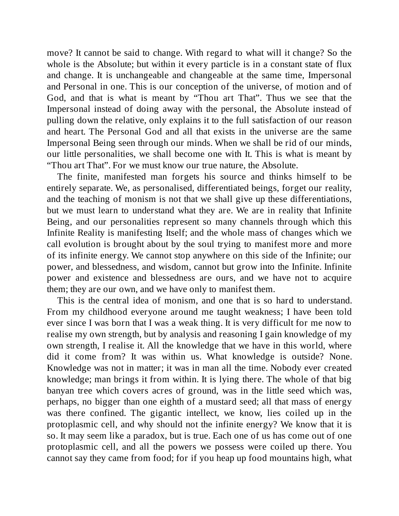move? It cannot be said to change. With regard to what will it change? So the whole is the Absolute; but within it every particle is in a constant state of flux and change. It is unchangeable and changeable at the same time, Impersonal and Personal in one. This is our conception of the universe, of motion and of God, and that is what is meant by "Thou art That". Thus we see that the Impersonal instead of doing away with the personal, the Absolute instead of pulling down the relative, only explains it to the full satisfaction of our reason and heart. The Personal God and all that exists in the universe are the same Impersonal Being seen through our minds. When we shall be rid of our minds, our little personalities, we shall become one with It. This is what is meant by "Thou art That". For we must know our true nature, the Absolute.

The finite, manifested man forgets his source and thinks himself to be entirely separate. We, as personalised, differentiated beings, forget our reality, and the teaching of monism is not that we shall give up these differentiations, but we must learn to understand what they are. We are in reality that Infinite Being, and our personalities represent so many channels through which this Infinite Reality is manifesting Itself; and the whole mass of changes which we call evolution is brought about by the soul trying to manifest more and more of its infinite energy. We cannot stop anywhere on this side of the Infinite; our power, and blessedness, and wisdom, cannot but grow into the Infinite. Infinite power and existence and blessedness are ours, and we have not to acquire them; they are our own, and we have only to manifest them.

This is the central idea of monism, and one that is so hard to understand. From my childhood everyone around me taught weakness; I have been told ever since I was born that I was a weak thing. It is very difficult for me now to realise my own strength, but by analysis and reasoning I gain knowledge of my own strength, I realise it. All the knowledge that we have in this world, where did it come from? It was within us. What knowledge is outside? None. Knowledge was not in matter; it was in man all the time. Nobody ever created knowledge; man brings it from within. It is lying there. The whole of that big banyan tree which covers acres of ground, was in the little seed which was, perhaps, no bigger than one eighth of a mustard seed; all that mass of energy was there confined. The gigantic intellect, we know, lies coiled up in the protoplasmic cell, and why should not the infinite energy? We know that it is so. It may seem like a paradox, but is true. Each one of us has come out of one protoplasmic cell, and all the powers we possess were coiled up there. You cannot say they came from food; for if you heap up food mountains high, what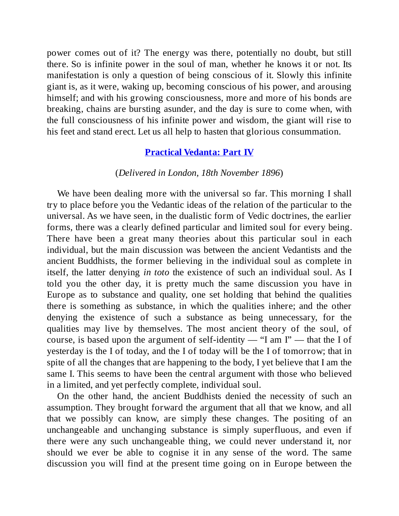power comes out of it? The energy was there, potentially no doubt, but still there. So is infinite power in the soul of man, whether he knows it or not. Its manifestation is only a question of being conscious of it. Slowly this infinite giant is, as it were, waking up, becoming conscious of his power, and arousing himself; and with his growing consciousness, more and more of his bonds are breaking, chains are bursting asunder, and the day is sure to come when, with the full consciousness of his infinite power and wisdom, the giant will rise to his feet and stand erect. Let us all help to hasten that glorious consummation.

### **Practical Vedanta: Part IV**

### (*Delivered in London, 18th November 1896*)

We have been dealing more with the universal so far. This morning I shall try to place before you the Vedantic ideas of the relation of the particular to the universal. As we have seen, in the dualistic form of Vedic doctrines, the earlier forms, there was a clearly defined particular and limited soul for every being. There have been a great many theories about this particular soul in each individual, but the main discussion was between the ancient Vedantists and the ancient Buddhists, the former believing in the individual soul as complete in itself, the latter denying *in toto* the existence of such an individual soul. As I told you the other day, it is pretty much the same discussion you have in Europe as to substance and quality, one set holding that behind the qualities there is something as substance, in which the qualities inhere; and the other denying the existence of such a substance as being unnecessary, for the qualities may live by themselves. The most ancient theory of the soul, of course, is based upon the argument of self-identity — "I am  $I$ " — that the I of yesterday is the I of today, and the I of today will be the I of tomorrow; that in spite of all the changes that are happening to the body, I yet believe that I am the same I. This seems to have been the central argument with those who believed in a limited, and yet perfectly complete, individual soul.

On the other hand, the ancient Buddhists denied the necessity of such an assumption. They brought forward the argument that all that we know, and all that we possibly can know, are simply these changes. The positing of an unchangeable and unchanging substance is simply superfluous, and even if there were any such unchangeable thing, we could never understand it, nor should we ever be able to cognise it in any sense of the word. The same discussion you will find at the present time going on in Europe between the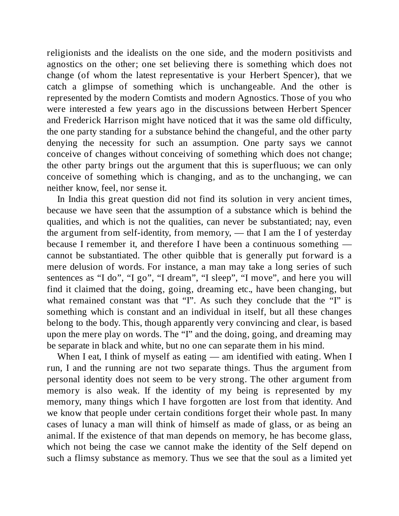religionists and the idealists on the one side, and the modern positivists and agnostics on the other; one set believing there is something which does not change (of whom the latest representative is your Herbert Spencer), that we catch a glimpse of something which is unchangeable. And the other is represented by the modern Comtists and modern Agnostics. Those of you who were interested a few years ago in the discussions between Herbert Spencer and Frederick Harrison might have noticed that it was the same old difficulty, the one party standing for a substance behind the changeful, and the other party denying the necessity for such an assumption. One party says we cannot conceive of changes without conceiving of something which does not change; the other party brings out the argument that this is superfluous; we can only conceive of something which is changing, and as to the unchanging, we can neither know, feel, nor sense it.

In India this great question did not find its solution in very ancient times, because we have seen that the assumption of a substance which is behind the qualities, and which is not the qualities, can never be substantiated; nay, even the argument from self-identity, from memory, — that I am the I of yesterday because I remember it, and therefore I have been a continuous something cannot be substantiated. The other quibble that is generally put forward is a mere delusion of words. For instance, a man may take a long series of such sentences as "I do", "I go", "I dream", "I sleep", "I move", and here you will find it claimed that the doing, going, dreaming etc., have been changing, but what remained constant was that "I". As such they conclude that the "I" is something which is constant and an individual in itself, but all these changes belong to the body. This, though apparently very convincing and clear, is based upon the mere play on words. The "I" and the doing, going, and dreaming may be separate in black and white, but no one can separate them in his mind.

When I eat, I think of myself as eating — am identified with eating. When I run, I and the running are not two separate things. Thus the argument from personal identity does not seem to be very strong. The other argument from memory is also weak. If the identity of my being is represented by my memory, many things which I have forgotten are lost from that identity. And we know that people under certain conditions forget their whole past. In many cases of lunacy a man will think of himself as made of glass, or as being an animal. If the existence of that man depends on memory, he has become glass, which not being the case we cannot make the identity of the Self depend on such a flimsy substance as memory. Thus we see that the soul as a limited yet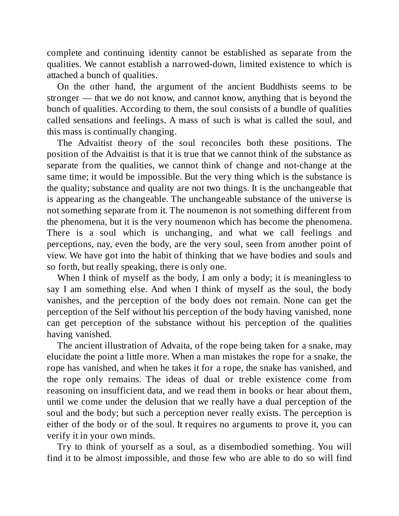complete and continuing identity cannot be established as separate from the qualities. We cannot establish a narrowed-down, limited existence to which is attached a bunch of qualities.

On the other hand, the argument of the ancient Buddhists seems to be stronger — that we do not know, and cannot know, anything that is beyond the bunch of qualities. According to them, the soul consists of a bundle of qualities called sensations and feelings. A mass of such is what is called the soul, and this mass is continually changing.

The Advaitist theory of the soul reconciles both these positions. The position of the Advaitist is that it is true that we cannot think of the substance as separate from the qualities, we cannot think of change and not-change at the same time; it would be impossible. But the very thing which is the substance is the quality; substance and quality are not two things. It is the unchangeable that is appearing as the changeable. The unchangeable substance of the universe is not something separate from it. The noumenon is not something different from the phenomena, but it is the very noumenon which has become the phenomena. There is a soul which is unchanging, and what we call feelings and perceptions, nay, even the body, are the very soul, seen from another point of view. We have got into the habit of thinking that we have bodies and souls and so forth, but really speaking, there is only one.

When I think of myself as the body, I am only a body; it is meaningless to say I am something else. And when I think of myself as the soul, the body vanishes, and the perception of the body does not remain. None can get the perception of the Self without his perception of the body having vanished, none can get perception of the substance without his perception of the qualities having vanished.

The ancient illustration of Advaita, of the rope being taken for a snake, may elucidate the point a little more. When a man mistakes the rope for a snake, the rope has vanished, and when he takes it for a rope, the snake has vanished, and the rope only remains. The ideas of dual or treble existence come from reasoning on insufficient data, and we read them in books or hear about them, until we come under the delusion that we really have a dual perception of the soul and the body; but such a perception never really exists. The perception is either of the body or of the soul. It requires no arguments to prove it, you can verify it in your own minds.

Try to think of yourself as a soul, as a disembodied something. You will find it to be almost impossible, and those few who are able to do so will find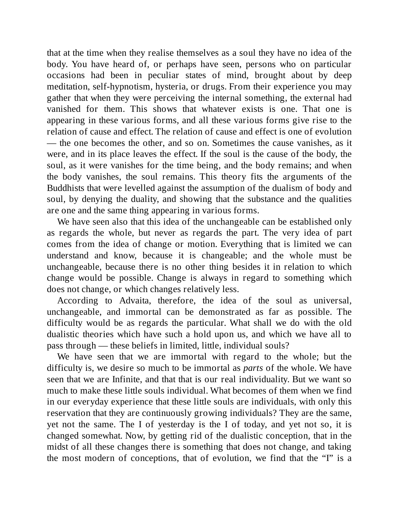that at the time when they realise themselves as a soul they have no idea of the body. You have heard of, or perhaps have seen, persons who on particular occasions had been in peculiar states of mind, brought about by deep meditation, self-hypnotism, hysteria, or drugs. From their experience you may gather that when they were perceiving the internal something, the external had vanished for them. This shows that whatever exists is one. That one is appearing in these various forms, and all these various forms give rise to the relation of cause and effect. The relation of cause and effect is one of evolution — the one becomes the other, and so on. Sometimes the cause vanishes, as it were, and in its place leaves the effect. If the soul is the cause of the body, the soul, as it were vanishes for the time being, and the body remains; and when the body vanishes, the soul remains. This theory fits the arguments of the Buddhists that were levelled against the assumption of the dualism of body and soul, by denying the duality, and showing that the substance and the qualities are one and the same thing appearing in various forms.

We have seen also that this idea of the unchangeable can be established only as regards the whole, but never as regards the part. The very idea of part comes from the idea of change or motion. Everything that is limited we can understand and know, because it is changeable; and the whole must be unchangeable, because there is no other thing besides it in relation to which change would be possible. Change is always in regard to something which does not change, or which changes relatively less.

According to Advaita, therefore, the idea of the soul as universal, unchangeable, and immortal can be demonstrated as far as possible. The difficulty would be as regards the particular. What shall we do with the old dualistic theories which have such a hold upon us, and which we have all to pass through — these beliefs in limited, little, individual souls?

We have seen that we are immortal with regard to the whole; but the difficulty is, we desire so much to be immortal as *parts* of the whole. We have seen that we are Infinite, and that that is our real individuality. But we want so much to make these little souls individual. What becomes of them when we find in our everyday experience that these little souls are individuals, with only this reservation that they are continuously growing individuals? They are the same, yet not the same. The I of yesterday is the I of today, and yet not so, it is changed somewhat. Now, by getting rid of the dualistic conception, that in the midst of all these changes there is something that does not change, and taking the most modern of conceptions, that of evolution, we find that the "I" is a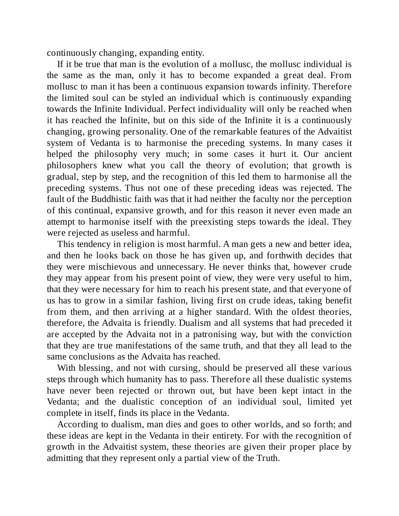continuously changing, expanding entity.

If it be true that man is the evolution of a mollusc, the mollusc individual is the same as the man, only it has to become expanded a great deal. From mollusc to man it has been a continuous expansion towards infinity. Therefore the limited soul can be styled an individual which is continuously expanding towards the Infinite Individual. Perfect individuality will only be reached when it has reached the Infinite, but on this side of the Infinite it is a continuously changing, growing personality. One of the remarkable features of the Advaitist system of Vedanta is to harmonise the preceding systems. In many cases it helped the philosophy very much; in some cases it hurt it. Our ancient philosophers knew what you call the theory of evolution; that growth is gradual, step by step, and the recognition of this led them to harmonise all the preceding systems. Thus not one of these preceding ideas was rejected. The fault of the Buddhistic faith was that it had neither the faculty nor the perception of this continual, expansive growth, and for this reason it never even made an attempt to harmonise itself with the preexisting steps towards the ideal. They were rejected as useless and harmful.

This tendency in religion is most harmful. A man gets a new and better idea, and then he looks back on those he has given up, and forthwith decides that they were mischievous and unnecessary. He never thinks that, however crude they may appear from his present point of view, they were very useful to him, that they were necessary for him to reach his present state, and that everyone of us has to grow in a similar fashion, living first on crude ideas, taking benefit from them, and then arriving at a higher standard. With the oldest theories, therefore, the Advaita is friendly. Dualism and all systems that had preceded it are accepted by the Advaita not in a patronising way, but with the conviction that they are true manifestations of the same truth, and that they all lead to the same conclusions as the Advaita has reached.

With blessing, and not with cursing, should be preserved all these various steps through which humanity has to pass. Therefore all these dualistic systems have never been rejected or thrown out, but have been kept intact in the Vedanta; and the dualistic conception of an individual soul, limited yet complete in itself, finds its place in the Vedanta.

According to dualism, man dies and goes to other worlds, and so forth; and these ideas are kept in the Vedanta in their entirety. For with the recognition of growth in the Advaitist system, these theories are given their proper place by admitting that they represent only a partial view of the Truth.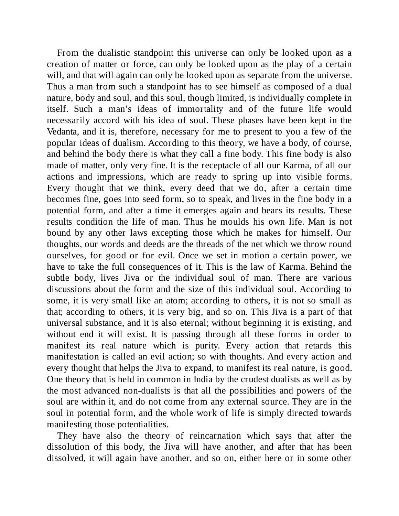From the dualistic standpoint this universe can only be looked upon as a creation of matter or force, can only be looked upon as the play of a certain will, and that will again can only be looked upon as separate from the universe. Thus a man from such a standpoint has to see himself as composed of a dual nature, body and soul, and this soul, though limited, is individually complete in itself. Such a man's ideas of immortality and of the future life would necessarily accord with his idea of soul. These phases have been kept in the Vedanta, and it is, therefore, necessary for me to present to you a few of the popular ideas of dualism. According to this theory, we have a body, of course, and behind the body there is what they call a fine body. This fine body is also made of matter, only very fine. It is the receptacle of all our Karma, of all our actions and impressions, which are ready to spring up into visible forms. Every thought that we think, every deed that we do, after a certain time becomes fine, goes into seed form, so to speak, and lives in the fine body in a potential form, and after a time it emerges again and bears its results. These results condition the life of man. Thus he moulds his own life. Man is not bound by any other laws excepting those which he makes for himself. Our thoughts, our words and deeds are the threads of the net which we throw round ourselves, for good or for evil. Once we set in motion a certain power, we have to take the full consequences of it. This is the law of Karma. Behind the subtle body, lives Jiva or the individual soul of man. There are various discussions about the form and the size of this individual soul. According to some, it is very small like an atom; according to others, it is not so small as that; according to others, it is very big, and so on. This Jiva is a part of that universal substance, and it is also eternal; without beginning it is existing, and without end it will exist. It is passing through all these forms in order to manifest its real nature which is purity. Every action that retards this manifestation is called an evil action; so with thoughts. And every action and every thought that helps the Jiva to expand, to manifest its real nature, is good. One theory that is held in common in India by the crudest dualists as well as by the most advanced non-dualists is that all the possibilities and powers of the soul are within it, and do not come from any external source. They are in the soul in potential form, and the whole work of life is simply directed towards manifesting those potentialities.

They have also the theory of reincarnation which says that after the dissolution of this body, the Jiva will have another, and after that has been dissolved, it will again have another, and so on, either here or in some other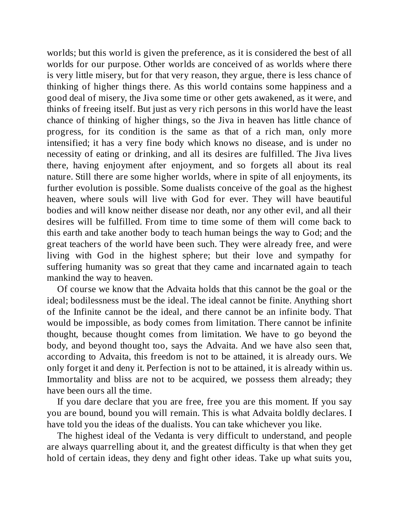worlds; but this world is given the preference, as it is considered the best of all worlds for our purpose. Other worlds are conceived of as worlds where there is very little misery, but for that very reason, they argue, there is less chance of thinking of higher things there. As this world contains some happiness and a good deal of misery, the Jiva some time or other gets awakened, as it were, and thinks of freeing itself. But just as very rich persons in this world have the least chance of thinking of higher things, so the Jiva in heaven has little chance of progress, for its condition is the same as that of a rich man, only more intensified; it has a very fine body which knows no disease, and is under no necessity of eating or drinking, and all its desires are fulfilled. The Jiva lives there, having enjoyment after enjoyment, and so forgets all about its real nature. Still there are some higher worlds, where in spite of all enjoyments, its further evolution is possible. Some dualists conceive of the goal as the highest heaven, where souls will live with God for ever. They will have beautiful bodies and will know neither disease nor death, nor any other evil, and all their desires will be fulfilled. From time to time some of them will come back to this earth and take another body to teach human beings the way to God; and the great teachers of the world have been such. They were already free, and were living with God in the highest sphere; but their love and sympathy for suffering humanity was so great that they came and incarnated again to teach mankind the way to heaven.

Of course we know that the Advaita holds that this cannot be the goal or the ideal; bodilessness must be the ideal. The ideal cannot be finite. Anything short of the Infinite cannot be the ideal, and there cannot be an infinite body. That would be impossible, as body comes from limitation. There cannot be infinite thought, because thought comes from limitation. We have to go beyond the body, and beyond thought too, says the Advaita. And we have also seen that, according to Advaita, this freedom is not to be attained, it is already ours. We only forget it and deny it. Perfection is not to be attained, it is already within us. Immortality and bliss are not to be acquired, we possess them already; they have been ours all the time.

If you dare declare that you are free, free you are this moment. If you say you are bound, bound you will remain. This is what Advaita boldly declares. I have told you the ideas of the dualists. You can take whichever you like.

The highest ideal of the Vedanta is very difficult to understand, and people are always quarrelling about it, and the greatest difficulty is that when they get hold of certain ideas, they deny and fight other ideas. Take up what suits you,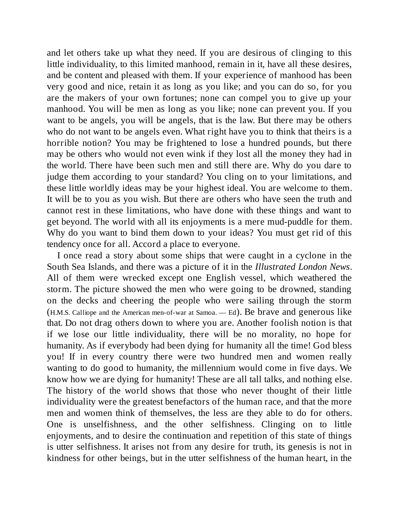and let others take up what they need. If you are desirous of clinging to this little individuality, to this limited manhood, remain in it, have all these desires, and be content and pleased with them. If your experience of manhood has been very good and nice, retain it as long as you like; and you can do so, for you are the makers of your own fortunes; none can compel you to give up your manhood. You will be men as long as you like; none can prevent you. If you want to be angels, you will be angels, that is the law. But there may be others who do not want to be angels even. What right have you to think that theirs is a horrible notion? You may be frightened to lose a hundred pounds, but there may be others who would not even wink if they lost all the money they had in the world. There have been such men and still there are. Why do you dare to judge them according to your standard? You cling on to your limitations, and these little worldly ideas may be your highest ideal. You are welcome to them. It will be to you as you wish. But there are others who have seen the truth and cannot rest in these limitations, who have done with these things and want to get beyond. The world with all its enjoyments is a mere mud-puddle for them. Why do you want to bind them down to your ideas? You must get rid of this tendency once for all. Accord a place to everyone.

I once read a story about some ships that were caught in a cyclone in the South Sea Islands, and there was a picture of it in the *Illustrated London News*. All of them were wrecked except one English vessel, which weathered the storm. The picture showed the men who were going to be drowned, standing on the decks and cheering the people who were sailing through the storm (H.M.S. Calliope and the American men-of-war at Samoa. — Ed). Be brave and generous like that. Do not drag others down to where you are. Another foolish notion is that if we lose our little individuality, there will be no morality, no hope for humanity. As if everybody had been dying for humanity all the time! God bless you! If in every country there were two hundred men and women really wanting to do good to humanity, the millennium would come in five days. We know how we are dying for humanity! These are all tall talks, and nothing else. The history of the world shows that those who never thought of their little individuality were the greatest benefactors of the human race, and that the more men and women think of themselves, the less are they able to do for others. One is unselfishness, and the other selfishness. Clinging on to little enjoyments, and to desire the continuation and repetition of this state of things is utter selfishness. It arises not from any desire for truth, its genesis is not in kindness for other beings, but in the utter selfishness of the human heart, in the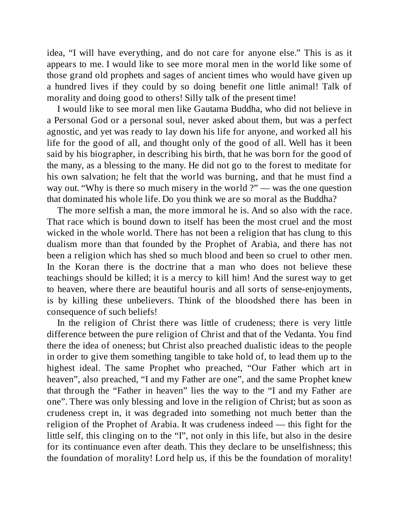idea, "I will have everything, and do not care for anyone else." This is as it appears to me. I would like to see more moral men in the world like some of those grand old prophets and sages of ancient times who would have given up a hundred lives if they could by so doing benefit one little animal! Talk of morality and doing good to others! Silly talk of the present time!

I would like to see moral men like Gautama Buddha, who did not believe in a Personal God or a personal soul, never asked about them, but was a perfect agnostic, and yet was ready to lay down his life for anyone, and worked all his life for the good of all, and thought only of the good of all. Well has it been said by his biographer, in describing his birth, that he was born for the good of the many, as a blessing to the many. He did not go to the forest to meditate for his own salvation; he felt that the world was burning, and that he must find a way out. "Why is there so much misery in the world ?" — was the one question that dominated his whole life. Do you think we are so moral as the Buddha?

The more selfish a man, the more immoral he is. And so also with the race. That race which is bound down to itself has been the most cruel and the most wicked in the whole world. There has not been a religion that has clung to this dualism more than that founded by the Prophet of Arabia, and there has not been a religion which has shed so much blood and been so cruel to other men. In the Koran there is the doctrine that a man who does not believe these teachings should be killed; it is a mercy to kill him! And the surest way to get to heaven, where there are beautiful houris and all sorts of sense-enjoyments, is by killing these unbelievers. Think of the bloodshed there has been in consequence of such beliefs!

In the religion of Christ there was little of crudeness; there is very little difference between the pure religion of Christ and that of the Vedanta. You find there the idea of oneness; but Christ also preached dualistic ideas to the people in order to give them something tangible to take hold of, to lead them up to the highest ideal. The same Prophet who preached, "Our Father which art in heaven", also preached, "I and my Father are one", and the same Prophet knew that through the "Father in heaven" lies the way to the "I and my Father are one". There was only blessing and love in the religion of Christ; but as soon as crudeness crept in, it was degraded into something not much better than the religion of the Prophet of Arabia. It was crudeness indeed — this fight for the little self, this clinging on to the "I", not only in this life, but also in the desire for its continuance even after death. This they declare to be unselfishness; this the foundation of morality! Lord help us, if this be the foundation of morality!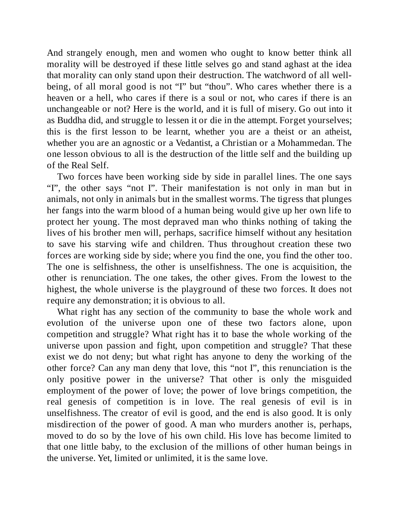And strangely enough, men and women who ought to know better think all morality will be destroyed if these little selves go and stand aghast at the idea that morality can only stand upon their destruction. The watchword of all wellbeing, of all moral good is not "I" but "thou". Who cares whether there is a heaven or a hell, who cares if there is a soul or not, who cares if there is an unchangeable or not? Here is the world, and it is full of misery. Go out into it as Buddha did, and struggle to lessen it or die in the attempt. Forget yourselves; this is the first lesson to be learnt, whether you are a theist or an atheist, whether you are an agnostic or a Vedantist, a Christian or a Mohammedan. The one lesson obvious to all is the destruction of the little self and the building up of the Real Self.

Two forces have been working side by side in parallel lines. The one says "I", the other says "not I". Their manifestation is not only in man but in animals, not only in animals but in the smallest worms. The tigress that plunges her fangs into the warm blood of a human being would give up her own life to protect her young. The most depraved man who thinks nothing of taking the lives of his brother men will, perhaps, sacrifice himself without any hesitation to save his starving wife and children. Thus throughout creation these two forces are working side by side; where you find the one, you find the other too. The one is selfishness, the other is unselfishness. The one is acquisition, the other is renunciation. The one takes, the other gives. From the lowest to the highest, the whole universe is the playground of these two forces. It does not require any demonstration; it is obvious to all.

What right has any section of the community to base the whole work and evolution of the universe upon one of these two factors alone, upon competition and struggle? What right has it to base the whole working of the universe upon passion and fight, upon competition and struggle? That these exist we do not deny; but what right has anyone to deny the working of the other force? Can any man deny that love, this "not I", this renunciation is the only positive power in the universe? That other is only the misguided employment of the power of love; the power of love brings competition, the real genesis of competition is in love. The real genesis of evil is in unselfishness. The creator of evil is good, and the end is also good. It is only misdirection of the power of good. A man who murders another is, perhaps, moved to do so by the love of his own child. His love has become limited to that one little baby, to the exclusion of the millions of other human beings in the universe. Yet, limited or unlimited, it is the same love.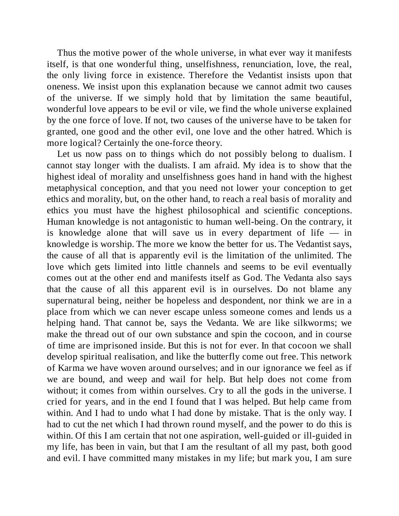Thus the motive power of the whole universe, in what ever way it manifests itself, is that one wonderful thing, unselfishness, renunciation, love, the real, the only living force in existence. Therefore the Vedantist insists upon that oneness. We insist upon this explanation because we cannot admit two causes of the universe. If we simply hold that by limitation the same beautiful, wonderful love appears to be evil or vile, we find the whole universe explained by the one force of love. If not, two causes of the universe have to be taken for granted, one good and the other evil, one love and the other hatred. Which is more logical? Certainly the one-force theory.

Let us now pass on to things which do not possibly belong to dualism. I cannot stay longer with the dualists. I am afraid. My idea is to show that the highest ideal of morality and unselfishness goes hand in hand with the highest metaphysical conception, and that you need not lower your conception to get ethics and morality, but, on the other hand, to reach a real basis of morality and ethics you must have the highest philosophical and scientific conceptions. Human knowledge is not antagonistic to human well-being. On the contrary, it is knowledge alone that will save us in every department of life  $-$  in knowledge is worship. The more we know the better for us. The Vedantist says, the cause of all that is apparently evil is the limitation of the unlimited. The love which gets limited into little channels and seems to be evil eventually comes out at the other end and manifests itself as God. The Vedanta also says that the cause of all this apparent evil is in ourselves. Do not blame any supernatural being, neither be hopeless and despondent, nor think we are in a place from which we can never escape unless someone comes and lends us a helping hand. That cannot be, says the Vedanta. We are like silkworms; we make the thread out of our own substance and spin the cocoon, and in course of time are imprisoned inside. But this is not for ever. In that cocoon we shall develop spiritual realisation, and like the butterfly come out free. This network of Karma we have woven around ourselves; and in our ignorance we feel as if we are bound, and weep and wail for help. But help does not come from without; it comes from within ourselves. Cry to all the gods in the universe. I cried for years, and in the end I found that I was helped. But help came from within. And I had to undo what I had done by mistake. That is the only way. I had to cut the net which I had thrown round myself, and the power to do this is within. Of this I am certain that not one aspiration, well-guided or ill-guided in my life, has been in vain, but that I am the resultant of all my past, both good and evil. I have committed many mistakes in my life; but mark you, I am sure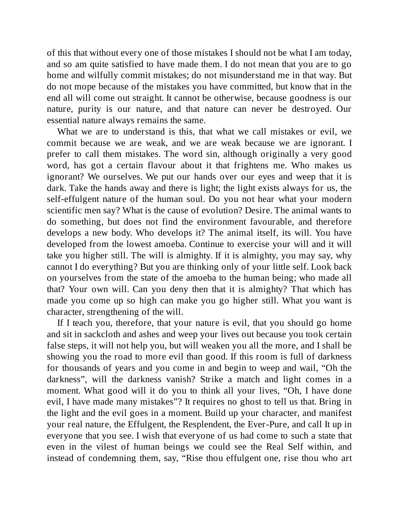of this that without every one of those mistakes I should not be what I am today, and so am quite satisfied to have made them. I do not mean that you are to go home and wilfully commit mistakes; do not misunderstand me in that way. But do not mope because of the mistakes you have committed, but know that in the end all will come out straight. It cannot be otherwise, because goodness is our nature, purity is our nature, and that nature can never be destroyed. Our essential nature always remains the same.

What we are to understand is this, that what we call mistakes or evil, we commit because we are weak, and we are weak because we are ignorant. I prefer to call them mistakes. The word sin, although originally a very good word, has got a certain flavour about it that frightens me. Who makes us ignorant? We ourselves. We put our hands over our eyes and weep that it is dark. Take the hands away and there is light; the light exists always for us, the self-effulgent nature of the human soul. Do you not hear what your modern scientific men say? What is the cause of evolution? Desire. The animal wants to do something, but does not find the environment favourable, and therefore develops a new body. Who develops it? The animal itself, its will. You have developed from the lowest amoeba. Continue to exercise your will and it will take you higher still. The will is almighty. If it is almighty, you may say, why cannot I do everything? But you are thinking only of your little self. Look back on yourselves from the state of the amoeba to the human being; who made all that? Your own will. Can you deny then that it is almighty? That which has made you come up so high can make you go higher still. What you want is character, strengthening of the will.

If I teach you, therefore, that your nature is evil, that you should go home and sit in sackcloth and ashes and weep your lives out because you took certain false steps, it will not help you, but will weaken you all the more, and I shall be showing you the road to more evil than good. If this room is full of darkness for thousands of years and you come in and begin to weep and wail, "Oh the darkness", will the darkness vanish? Strike a match and light comes in a moment. What good will it do you to think all your lives, "Oh, I have done evil, I have made many mistakes"? It requires no ghost to tell us that. Bring in the light and the evil goes in a moment. Build up your character, and manifest your real nature, the Effulgent, the Resplendent, the Ever-Pure, and call It up in everyone that you see. I wish that everyone of us had come to such a state that even in the vilest of human beings we could see the Real Self within, and instead of condemning them, say, "Rise thou effulgent one, rise thou who art